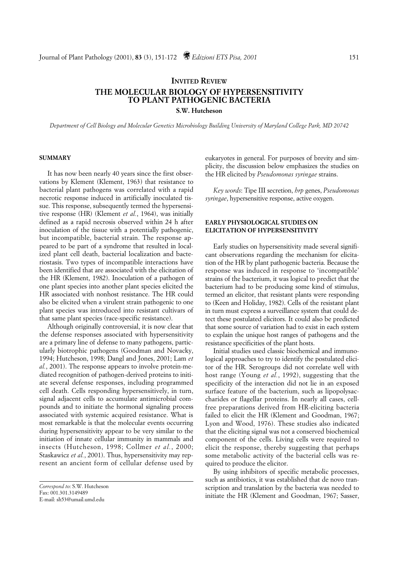# **INVITED REVIEW THE MOLECULAR BIOLOGY OF HYPERSENSITIVITY TO PLANT PATHOGENIC BACTERIA**

**S.W. Hutcheson**

*Department of Cell Biology and Molecular Genetics Microbiology Building University of Maryland College Park, MD 20742*

### **SUMMARY**

It has now been nearly 40 years since the first observations by Klement (Klement, 1963) that resistance to bacterial plant pathogens was correlated with a rapid necrotic response induced in artificially inoculated tissue. This response, subsequently termed the hypersensitive response (HR) (Klement *et al.*, 1964), was initially defined as a rapid necrosis observed within 24 h after inoculation of the tissue with a potentially pathogenic, but incompatible, bacterial strain. The response appeared to be part of a syndrome that resulted in localized plant cell death, bacterial localization and bacteriostasis. Two types of incompatible interactions have been identified that are associated with the elicitation of the HR (Klement, 1982). Inoculation of a pathogen of one plant species into another plant species elicited the HR associated with nonhost resistance. The HR could also be elicited when a virulent strain pathogenic to one plant species was introduced into resistant cultivars of that same plant species (race-specific resistance).

Although originally controversial, it is now clear that the defense responses associated with hypersensitivity are a primary line of defense to many pathogens, particularly biotrophic pathogens (Goodman and Novacky, 1994; Hutcheson, 1998; Dangl and Jones, 2001; Lam *et al.*, 2001). The response appears to involve protein-mediated recognition of pathogen-derived proteins to initiate several defense responses, including programmed cell death. Cells responding hypersensitively, in turn, signal adjacent cells to accumulate antimicrobial compounds and to initiate the hormonal signaling process associated with systemic acquired resistance. What is most remarkable is that the molecular events occurring during hypersensitivity appear to be very similar to the initiation of innate cellular immunity in mammals and insects (Hutcheson, 1998; Collmer *et al.*, 2000; Staskawicz *et al.*, 2001). Thus, hypersensitivity may represent an ancient form of cellular defense used by

eukaryotes in general. For purposes of brevity and simplicity, the discussion below emphasizes the studies on the HR elicited by *Pseudomonas syringae* strains.

*Key words*: Tipe III secretion, *hrp* genes, *Pseudomonas syringae*, hypersensitive response, active oxygen.

# **EARLY PHYSIOLOGICAL STUDIES ON ELICITATION OF HYPERSENSITIVITY**

Early studies on hypersensitivity made several significant observations regarding the mechanism for elicitation of the HR by plant pathogenic bacteria. Because the response was induced in response to 'incompatible' strains of the bacterium, it was logical to predict that the bacterium had to be producing some kind of stimulus, termed an elicitor, that resistant plants were responding to (Keen and Holiday, 1982). Cells of the resistant plant in turn must express a surveillance system that could detect these postulated elicitors. It could also be predicted that some source of variation had to exist in each system to explain the unique host ranges of pathogens and the resistance specificities of the plant hosts.

Initial studies used classic biochemical and immunological approaches to try to identify the postulated elicitor of the HR. Serogroups did not correlate well with host range (Young *et al.*, 1992), suggesting that the specificity of the interaction did not lie in an exposed surface feature of the bacterium, such as lipopolysaccharides or flagellar proteins. In nearly all cases, cellfree preparations derived from HR-eliciting bacteria failed to elicit the HR (Klement and Goodman, 1967; Lyon and Wood, 1976). These studies also indicated that the eliciting signal was not a conserved biochemical component of the cells. Living cells were required to elicit the response, thereby suggesting that perhaps some metabolic activity of the bacterial cells was required to produce the elicitor.

By using inhibitors of specific metabolic processes, such as antibiotics, it was established that de novo transcription and translation by the bacteria was needed to initiate the HR (Klement and Goodman, 1967; Sasser,

*Correspond to*: S.W. Hutcheson Fax: 001.301.3149489 E-mail: sh53@umail.umd.edu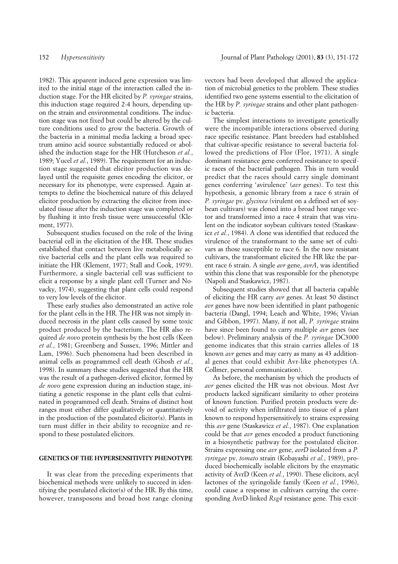1982). This apparent induced gene expression was limited to the initial stage of the interaction called the induction stage. For the HR elicited by *P. syringae* strains, this induction stage required 2-4 hours, depending upon the strain and environmental conditions. The induction stage was not fixed but could be altered by the culture conditions used to grow the bacteria. Growth of the bacteria in a minimal media lacking a broad spectrum amino acid source substantially reduced or abolished the induction stage for the HR (Hutcheson *et al.*, 1989; Yucel *et al.*, 1989). The requirement for an induction stage suggested that elicitor production was delayed until the requisite genes encoding the elicitor, or necessary for its phenotype, were expressed. Again attempts to define the biochemical nature of this delayed elicitor production by extracting the elicitor from inoculated tissue after the induction stage was completed or by flushing it into fresh tissue were unsuccessful (Klement, 1977).

Subsequent studies focused on the role of the living bacterial cell in the elicitation of the HR. These studies established that contact between live metabolically active bacterial cells and the plant cells was required to initiate the HR (Klement, 1977; Stall and Cook, 1979). Furthermore, a single bacterial cell was sufficient to elicit a response by a single plant cell (Turner and Novacky, 1974), suggesting that plant cells could respond to very low levels of the elicitor.

These early studies also demonstrated an active role for the plant cells in the HR. The HR was not simply induced necrosis in the plant cells caused by some toxic product produced by the bacterium. The HR also required *de novo* protein synthesis by the host cells (Keen *et al.*, 1981; Greenberg and Sussex, 1996; Mittler and Lam, 1996). Such phenomena had been described in animal cells as programmed cell death (Ghosh *et al.*, 1998). In summary these studies suggested that the HR was the result of a pathogen-derived elicitor, formed by *de novo* gene expression during an induction stage, initiating a genetic response in the plant cells that culminated in programmed cell death. Strains of distinct host ranges must either differ qualitatively or quantitatively in the production of the postulated elicitor(s). Plants in turn must differ in their ability to recognize and respond to these postulated elicitors.

#### **GENETICS OF THE HYPERSENSITIVITY PHENOTYPE**

It was clear from the preceding experiments that biochemical methods were unlikely to succeed in identifying the postulated elicitor(s) of the HR. By this time, however, transposons and broad host range cloning vectors had been developed that allowed the application of microbial genetics to the problem. These studies identified two gene systems essential to the elicitation of the HR by *P. syringae* strains and other plant pathogenic bacteria.

The simplest interactions to investigate genetically were the incompatible interactions observed during race specific resistance. Plant breeders had established that cultivar-specific resistance to several bacteria followed the predictions of Flor (Flor, 1971). A single dominant resistance gene conferred resistance to specific races of the bacterial pathogen. This in turn would predict that the races should carry single dominant genes conferring 'avirulence' (*avr* genes). To test this hypothesis, a genomic library from a race 6 strain of *P. syringae* pv. *glycinea* (virulent on a defined set of soybean cultivars) was cloned into a broad host range vector and transformed into a race 4 strain that was virulent on the indicator soybean cultivars tested (Staskawicz *et al.*, 1984). A clone was identified that reduced the virulence of the transformant to the same set of cultivars as those susceptible to race 6. In the now resistant cultivars, the transformant elicited the HR like the parent race 6 strain. A single *avr* gene, *avrA*, was identified within this clone that was responsible for the phenotype (Napoli and Staskawicz, 1987).

Subsequent studies showed that all bacteria capable of eliciting the HR carry *avr* genes. At least 50 distinct *avr* genes have now been identified in plant pathogenic bacteria (Dangl, 1994; Leach and White, 1996; Vivian and Gibbon, 1997). Many, if not all, *P. syringae* strains have since been found to carry multiple *avr* genes (see below). Preliminary analysis of the *P. syringae* DC3000 genome indicates that this strain carries alleles of 18 known *avr* genes and may carry as many as 43 additional genes that could exhibit Avr-like phenotypes (A. Collmer, personal communication).

As before, the mechanism by which the products of *avr* genes elicited the HR was not obvious. Most Avr products lacked significant similarity to other proteins of known function. Purified protein products were devoid of activity when infiltrated into tissue of a plant known to respond hypersensitively to strains expressing this *avr* gene (Staskawicz *et al.*, 1987). One explanation could be that *avr* genes encoded a product functioning in a biosynthetic pathway for the postulated elicitor. Strains expressing one *avr* gene, *avrD* isolated from a *P. syringae* pv. *tomato* strain (Kobayashi *et al.*, 1989), produced biochemically isolable elicitors by the enzymatic activity of AvrD (Keen *et al.*, 1990). These elicitors, acyl lactones of the syringolide family (Keen *et al.*, 1996), could cause a response in cultivars carrying the corresponding AvrD-linked *Rsg4* resistance gene. This excit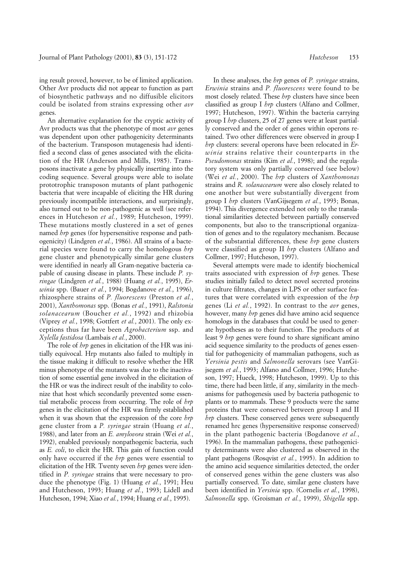ing result proved, however, to be of limited application. Other Avr products did not appear to function as part of biosynthetic pathways and no diffusible elicitors could be isolated from strains expressing other *avr* genes.

An alternative explanation for the cryptic activity of Avr products was that the phenotype of most *avr* genes was dependent upon other pathogenicity determinants of the bacterium. Transposon mutagenesis had identified a second class of genes associated with the elicitation of the HR (Anderson and Mills, 1985). Transposons inactivate a gene by physically inserting into the coding sequence. Several groups were able to isolate prototrophic transposon mutants of plant pathogenic bacteria that were incapable of eliciting the HR during previously incompatible interactions, and surprisingly, also turned out to be non-pathogenic as well (see references in Hutcheson *et al.*, 1989; Hutcheson, 1999). These mutations mostly clustered in a set of genes named *hrp* genes (for hypersensitive response and pathogenicity) (Lindgren *et al.*, 1986). All strains of a bacterial species were found to carry the homologous *hrp* gene cluster and phenotypically similar gene clusters were identified in nearly all Gram-negative bacteria capable of causing disease in plants. These include *P. syringae* (Lindgren *et al.*, 1988) (Huang *et al.*, 1995), *Erwinia* spp. (Bauer *et al.*, 1994; Bogdanove *et al.*, 1996), rhizosphere strains of *P. fluorescens* (Preston *et al.*, 2001), *Xanthomonas* spp. (Bonas *et al.*, 1991), *Ralstonia solanacearum* (Boucher *et al.*, 1992) and rhizobia (Viprey *et al.*, 1998; Gottfert *et al.*, 2001). The only exceptions thus far have been *Agrobacterium* ssp. and *Xylella fastidosa* (Lambais *et al.*, 2000).

The role of *hrp* genes in elicitation of the HR was initially equivocal. Hrp mutants also failed to multiply in the tissue making it difficult to resolve whether the HR minus phenotype of the mutants was due to the inactivation of some essential gene involved in the elicitation of the HR or was the indirect result of the inability to colonize that host which secondarily prevented some essential metabolic process from occurring. The role of *hrp* genes in the elicitation of the HR was firmly established when it was shown that the expression of the core *hrp* gene cluster from a *P. syringae* strain (Huang *et al.*, 1988), and later from an *E. amylovora* strain (Wei *et al.*, 1992), enabled previously nonpathogenic bacteria, such as *E. coli*, to elicit the HR. This gain of function could only have occurred if the *hrp* genes were essential to elicitation of the HR. Twenty seven *hrp* genes were identified in *P. syringae* strains that were necessary to produce the phenotype (Fig. 1) (Huang *et al.*, 1991; Heu and Hutcheson, 1993; Huang *et al.*, 1993; Lidell and Hutcheson, 1994; Xiao *et al.*, 1994; Huang *et al.*, 1995).

In these analyses, the *hrp* genes of *P. syringae* strains, *Erwinia* strains and *P. fluorescens* were found to be most closely related. These *hrp* clusters have since been classified as group I *hrp* clusters (Alfano and Collmer, 1997; Hutcheson, 1997). Within the bacteria carrying group I *hrp* clusters, 25 of 27 genes were at least partially conserved and the order of genes within operons retained. Two other differences were observed in group I *hrp* clusters: several operons have been relocated in *Erwinia* strains relative their counterparts in the *Pseudomonas* strains (Kim *et al.*, 1998); and the regulatory system was only partially conserved (see below) (Wei *et al.*, 2000). The *hrp* clusters of *Xanthomonas* strains and *R. solanacearum* were also closely related to one another but were substantially divergent from group I *hrp* clusters (VanGijsegem *et al.*, 1993; Bonas, 1994). This divergence extended not only to the translational similarities detected between partially conserved components, but also to the transcriptional organization of genes and to the regulatory mechanism. Because of the substantial differences, these *hrp* gene clusters were classified as group II *hrp* clusters (Alfano and Collmer, 1997; Hutcheson, 1997).

Several attempts were made to identify biochemical traits associated with expression of *hrp* genes. These studies initially failed to detect novel secreted proteins in culture filtrates, changes in LPS or other surface features that were correlated with expression of the *hrp* genes (Li *et al.*, 1992). In contrast to the *avr* genes, however, many *hrp* genes did have amino acid sequence homologs in the databases that could be used to generate hypotheses as to their function. The products of at least 9 *hrp* genes were found to share significant amino acid sequence similarity to the products of genes essential for pathogenicity of mammalian pathogens, such as *Yersinia pestis* and *Salmonella* serovars (see VanGijsegem *et al.*, 1993; Alfano and Collmer, 1996; Hutcheson, 1997; Hueck, 1998; Hutcheson, 1999). Up to this time, there had been little, if any, similarity in the mechanisms for pathogenesis used by bacteria pathogenic to plants or to mammals. These 9 products were the same proteins that were conserved between group I and II *hrp* clusters. These conserved genes were subsequently renamed hrc genes (hypersensitive response conserved) in the plant pathogenic bacteria (Bogdanove *et al.*, 1996). In the mammalian pathogens, these pathogenicity determinants were also clustered as observed in the plant pathogens (Rosqvist *et al.*, 1995). In addition to the amino acid sequence similarities detected, the order of conserved genes within the gene clusters was also partially conserved. To date, similar gene clusters have been identified in *Yersinia* spp. (Cornelis *et al.*, 1998), *Salmonella* spp. (Groisman *et al.*, 1999), *Shigella* spp.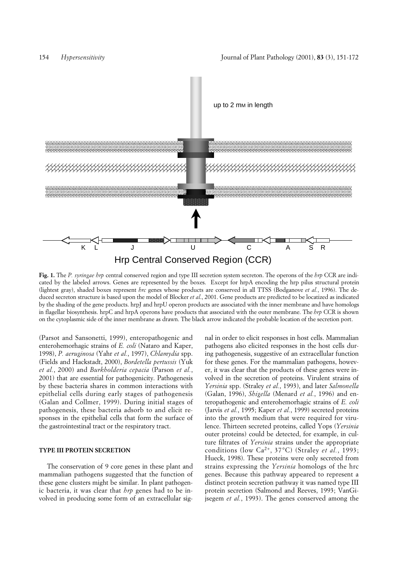

**Fig. 1.** The *P. syringae hrp* central conserved region and type III secretion system secreton. The operons of the *hrp* CCR are indicated by the labeled arrows. Genes are represented by the boxes. Except for hrpA encoding the hrp pilus structural protein (lightest gray), shaded boxes represent *hrc* genes whose products are conserved in all TTSS (Bodganove *et al.*, 1996). The deduced secreton structure is based upon the model of Blocker *et al*., 2001. Gene products are predicted to be locatized as indicated by the shading of the gene products. hrpJ and hrpU operon products are associated with the inner membrane and have homologs in flagellar biosynthesis. hrpC and hrpA operons have products that associated with the outer membrane. The *hrp* CCR is shown on the cytoplasmic side of the inner membrane as drawn. The black arrow indicated the probable location of the secretion port.

(Parsot and Sansonetti, 1999), enteropathogenic and enterohemorhagic strains of *E. coli* (Nataro and Kaper, 1998), *P. aeruginosa* (Yahr *et al.*, 1997), *Chlamydia* spp. (Fields and Hackstadt, 2000), *Bordetella pertussis* (Yuk *et al.*, 2000) and *Burkholderia cepacia* (Parson *et al.*, 2001) that are essential for pathogenicity. Pathogenesis by these bacteria shares in common interactions with epithelial cells during early stages of pathogenesis (Galan and Collmer, 1999). During initial stages of pathogenesis, these bacteria adsorb to and elicit responses in the epithelial cells that form the surface of the gastrointestinal tract or the respiratory tract.

# **TYPE III PROTEIN SECRETION**

The conservation of 9 core genes in these plant and mammalian pathogens suggested that the function of these gene clusters might be similar. In plant pathogenic bacteria, it was clear that *hrp* genes had to be involved in producing some form of an extracellular signal in order to elicit responses in host cells. Mammalian pathogens also elicited responses in the host cells during pathogenesis, suggestive of an extracellular function for these genes. For the mammalian pathogens, however, it was clear that the products of these genes were involved in the secretion of proteins. Virulent strains of *Yersinia* spp. (Straley *et al.*, 1993), and later *Salmonella* (Galan, 1996), *Shigella* (Menard *et al.*, 1996) and enteropathogenic and enterohemorhagic strains of *E. coli* (Jarvis *et al.*, 1995; Kaper *et al.*, 1999) secreted proteins into the growth medium that were required for virulence. Thirteen secreted proteins, called Yops (*Yersinia* outer proteins) could be detected, for example, in culture filtrates of *Yersinia* strains under the appropriate conditions (low Ca2+, 37°C) (Straley *et al.*, 1993; Hueck, 1998). These proteins were only secreted from strains expressing the *Yersinia* homologs of the hrc genes. Because this pathway appeared to represent a distinct protein secretion pathway it was named type III protein secretion (Salmond and Reeves, 1993; VanGijsegem *et al.*, 1993). The genes conserved among the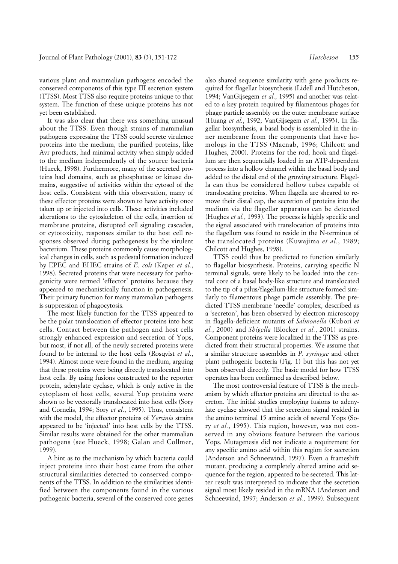various plant and mammalian pathogens encoded the conserved components of this type III secretion system (TTSS). Most TTSS also require proteins unique to that system. The function of these unique proteins has not yet been established.

It was also clear that there was something unusual about the TTSS. Even though strains of mammalian pathogens expressing the TTSS could secrete virulence proteins into the medium, the purified proteins, like Avr products, had minimal activity when simply added to the medium independently of the source bacteria (Hueck, 1998). Furthermore, many of the secreted proteins had domains, such as phosphatase or kinase domains, suggestive of activities within the cytosol of the host cells. Consistent with this observation, many of these effector proteins were shown to have activity once taken up or injected into cells. These activities included alterations to the cytoskeleton of the cells, insertion of membrane proteins, disrupted cell signaling cascades, or cytotoxicity, responses similar to the host cell responses observed during pathogenesis by the virulent bacterium. These proteins commonly cause morphological changes in cells, such as pedestal formation induced by EPEC and EHEC strains of *E. coli* (Kaper *et al.*, 1998). Secreted proteins that were necessary for pathogenicity were termed 'effector' proteins because they appeared to mechanistically function in pathogenesis. Their primary function for many mammalian pathogens is suppression of phagocytosis.

The most likely function for the TTSS appeared to be the polar translocation of effector proteins into host cells. Contact between the pathogen and host cells strongly enhanced expression and secretion of Yops, but most, if not all, of the newly secreted proteins were found to be internal to the host cells (Rosqvist *et al.*, 1994). Almost none were found in the medium, arguing that these proteins were being directly translocated into host cells. By using fusions constructed to the reporter protein, adenylate cyclase, which is only active in the cytoplasm of host cells, several Yop proteins were shown to be vectorally translocated into host cells (Sory and Cornelis, 1994; Sory *et al.*, 1995). Thus, consistent with the model, the effector proteins of *Yersinia* strains appeared to be 'injected' into host cells by the TTSS. Similar results were obtained for the other mammalian pathogens (see Hueck, 1998; Galan and Collmer, 1999).

A hint as to the mechanism by which bacteria could inject proteins into their host came from the other structural similarities detected to conserved components of the TTSS. In addition to the similarities identified between the components found in the various pathogenic bacteria, several of the conserved core genes

also shared sequence similarity with gene products required for flagellar biosynthesis (Lidell and Hutcheson, 1994; VanGijsegem *et al.*, 1995) and another was related to a key protein required by filamentous phages for phage particle assembly on the outer membrane surface (Huang *et al.*, 1992; VanGijsegem *et al.*, 1993). In flagellar biosynthesis, a basal body is assembled in the inner membrane from the components that have homologs in the TTSS (Macnab, 1996; Chilcott and Hughes, 2000). Proteins for the rod, hook and flagellum are then sequentially loaded in an ATP-dependent process into a hollow channel within the basal body and added to the distal end of the growing structure. Flagella can thus be considered hollow tubes capable of translocating proteins. When flagella are sheared to remove their distal cap, the secretion of proteins into the medium via the flagellar apparatus can be detected (Hughes *et al.*, 1993). The process is highly specific and the signal associated with translocation of proteins into the flagellum was found to reside in the N-terminus of the translocated proteins (Kuwajima *et al.*, 1989; Chilcott and Hughes, 1998).

TTSS could thus be predicted to function similarly to flagellar biosynthesis. Proteins, carrying specific N terminal signals, were likely to be loaded into the central core of a basal body-like structure and translocated to the tip of a pilus/flagellum-like structure formed similarly to filamentous phage particle assembly. The predicted TTSS membrane 'needle' complex, described as a 'secreton', has been observed by electron microscopy in flagella-deficient mutants of *Salmonella* (Kubori *et al.*, 2000) and *Shigella* (Blocker *et al.*, 2001) strains. Component proteins were localized in the TTSS as predicted from their structural properties. We assume that a similar structure assembles in *P. syringae* and other plant pathogenic bacteria (Fig. 1) but this has not yet been observed directly. The basic model for how TTSS operates has been confirmed as described below.

The most controversial feature of TTSS is the mechanism by which effector proteins are directed to the secreton. The initial studies employing fusions to adenylate cyclase showed that the secretion signal resided in the amino terminal 15 amino acids of several Yops (Sory *et al.*, 1995). This region, however, was not conserved in any obvious feature between the various Yops. Mutagenesis did not indicate a requirement for any specific amino acid within this region for secretion (Anderson and Schneewind, 1997). Even a frameshift mutant, producing a completely altered amino acid sequence for the region, appeared to be secreted. This latter result was interpreted to indicate that the secretion signal most likely resided in the mRNA (Anderson and Schneewind, 1997; Anderson *et al.*, 1999). Subsequent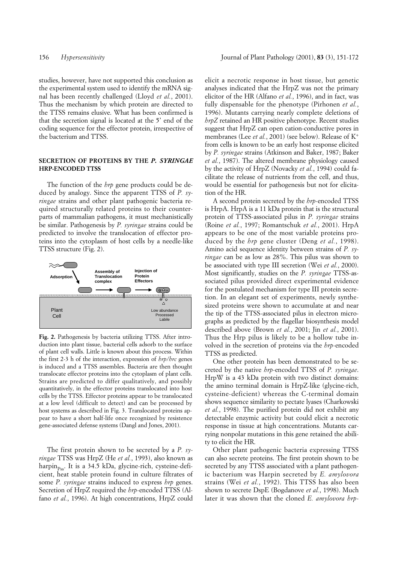studies, however, have not supported this conclusion as the experimental system used to identify the mRNA signal has been recently challenged (Lloyd *et al.*, 2001). Thus the mechanism by which protein are directed to the TTSS remains elusive. What has been confirmed is that the secretion signal is located at the 5' end of the coding sequence for the effector protein, irrespective of the bacterium and TTSS.

# **SECRETION OF PROTEINS BY THE** *P. SYRINGAE* **HRP-ENCODED TTSS**

The function of the *hrp* gene products could be deduced by analogy. Since the apparent TTSS of *P. syringae* strains and other plant pathogenic bacteria required structurally related proteins to their counterparts of mammalian pathogens, it must mechanistically be similar. Pathogenesis by *P. syringae* strains could be predicted to involve the translocation of effector proteins into the cytoplasm of host cells by a needle-like TTSS structure (Fig. 2).



Fig. 2. Pathogenesis by bacteria utilizing TTSS. After introduction into plant tissue, bacterial cells adsorb to the surface of plant cell walls. Little is known about this process. Within the first 2-3 h of the interaction, expression of *hrp/hrc* genes is induced and a TTSS assembles. Bacteria are then thought translocate effector proteins into the cytoplasm of plant cells. Strains are predicted to differ qualitatively, and possibly quantitatively, in the effector proteins translocated into host cells by the TTSS. Effector proteins appear to be translocated at a low level (difficult to detect) and can be processed by host systems as described in Fig. 3. Translocated proteins appear to have a short half-life once recognized by resistence gene-associated defense systems (Dangl and Jones, 2001).

The first protein shown to be secreted by a *P. syringae* TTSS was HrpZ (He *et al.*, 1993), also known as harpin<sub>pss</sub>. It is a 34.5 kDa, glycine-rich, cysteine-deficient, heat stable protein found in culture filtrates of some *P. syringae* strains induced to express *hrp* genes. Secretion of HrpZ required the *hrp*-encoded TTSS (Alfano *et al.*, 1996). At high concentrations, HrpZ could

elicit a necrotic response in host tissue, but genetic analyses indicated that the HrpZ was not the primary elicitor of the HR (Alfano *et al.*, 1996), and in fact, was fully dispensable for the phenotype (Pirhonen *et al.*, 1996). Mutants carrying nearly complete deletions of *hrpZ* retained an HR positive phenotype. Recent studies suggest that HrpZ can open cation-conductive pores in membranes (Lee *et al.*, 2001) (see below). Release of K<sup>+</sup> from cells is known to be an early host response elicited by *P. syringae* strains (Atkinson and Baker, 1987; Baker *et al.*, 1987). The altered membrane physiology caused by the activity of HrpZ (Novacky *et al.*, 1994) could facilitate the release of nutrients from the cell, and thus, would be essential for pathogenesis but not for elicitation of the HR.

A second protein secreted by the *hrp*-encoded TTSS is HrpA. HrpA is a 11 kDa protein that is the structural protein of TTSS-associated pilus in *P. syringae* strains (Roine *et al.*, 1997; Romantschuk *et al.*, 2001). HrpA appears to be one of the most variable proteins produced by the *hrp* gene cluster (Deng *et al.*, 1998). Amino acid sequence identity between strains of *P. syringae* can be as low as 28%. This pilus was shown to be associated with type III secretion (Wei *et al.*, 2000). Most significantly, studies on the *P. syringae* TTSS-associated pilus provided direct experimental evidence for the postulated mechanism for type III protein secretion. In an elegant set of experiments, newly synthesized proteins were shown to accumulate at and near the tip of the TTSS-associated pilus in electron micrographs as predicted by the flagellar biosynthesis model described above (Brown *et al.*, 2001; Jin *et al.*, 2001). Thus the Hrp pilus is likely to be a hollow tube involved in the secretion of proteins via the *hrp*-encoded TTSS as predicted.

One other protein has been demonstrated to be secreted by the native *hrp*-encoded TTSS of *P. syringae*. HrpW is a 43 kDa protein with two distinct domains: the amino terminal domain is HrpZ-like (glycine-rich, cysteine-deficient) whereas the C-terminal domain shows sequence similarity to pectate lyases (Charkowski *et al.*, 1998). The purified protein did not exhibit any detectable enzymic activity but could elicit a necrotic response in tissue at high concentrations. Mutants carrying nonpolar mutations in this gene retained the ability to elicit the HR.

Other plant pathogenic bacteria expressing TTSS can also secrete proteins. The first protein shown to be secreted by any TTSS associated with a plant pathogenic bacterium was Harpin secreted by *E. amylovora* strains (Wei *et al.*, 1992). This TTSS has also been shown to secrete DspE (Bogdanove *et al.*, 1998). Much later it was shown that the cloned *E. amylovora hrp*-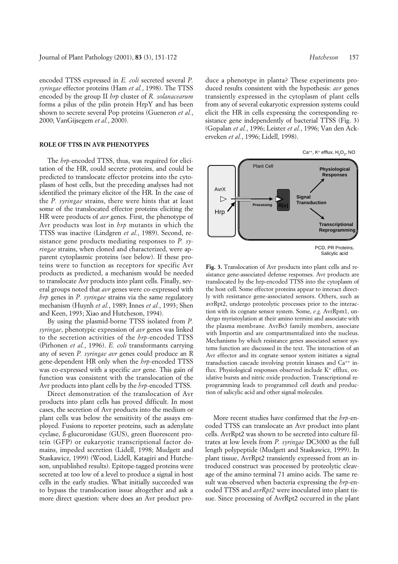encoded TTSS expressed in *E. coli* secreted several *P. syringae* effector proteins (Ham *et al.*, 1998). The TTSS encoded by the group II *hrp* cluster of *R. solanacearum* forms a pilus of the pilin protein HrpY and has been shown to secrete several Pop proteins (Gueneron *et al.*, 2000; VanGijsegem *et al.*, 2000).

#### **ROLE OF TTSS IN AVR PHENOTYPES**

The *hrp*-encoded TTSS, thus, was required for elicitation of the HR, could secrete proteins, and could be predicted to translocate effector proteins into the cytoplasm of host cells, but the preceding analyses had not identified the primary elicitor of the HR. In the case of the *P. syringae* strains, there were hints that at least some of the translocated effector proteins eliciting the HR were products of *avr* genes. First, the phenotype of Avr products was lost in *hrp* mutants in which the TTSS was inactive (Lindgren *et al.*, 1989). Second, resistance gene products mediating responses to *P. syringae* strains, when cloned and characterized, were apparent cytoplasmic proteins (see below). If these proteins were to function as receptors for specific Avr products as predicted, a mechanism would be needed to translocate Avr products into plant cells. Finally, several groups noted that *avr* genes were co-expressed with *hrp* genes in *P. syringae* strains via the same regulatory mechanism (Huynh *et al.*, 1989; Innes *et al.*, 1993; Shen and Keen, 1993; Xiao and Hutcheson, 1994).

By using the plasmid-borne TTSS isolated from *P. syringae*, phenotypic expression of *avr* genes was linked to the secretion activities of the *hrp*-encoded TTSS (Pirhonen *et al.*, 1996). *E. coli* transformants carrying any of seven *P. syringae avr* genes could produce an R gene-dependent HR only when the *hrp*-encoded TTSS was co-expressed with a specific *avr* gene. This gain of function was consistent with the translocation of the Avr products into plant cells by the *hrp*-encoded TTSS.

Direct demonstration of the translocation of Avr products into plant cells has proved difficult. In most cases, the secretion of Avr products into the medium or plant cells was below the sensitivity of the assays employed. Fusions to reporter proteins, such as adenylate cyclase, ß-glucuronidase (GUS), green fluorescent protein (GFP) or eukaryotic transcriptional factor domains, impeded secretion (Lidell, 1998; Mudgett and Staskawicz, 1999) (Wood, Lidell, Katagiri and Hutcheson, unpublished results). Epitope-tagged proteins were secreted at too low of a level to produce a signal in host cells in the early studies. What initially succeeded was to bypass the translocation issue altogether and ask a more direct question: where does an Avr product produce a phenotype in planta? These experiments produced results consistent with the hypothesis: *avr* genes transiently expressed in the cytoplasm of plant cells from any of several eukaryotic expression systems could elicit the HR in cells expressing the corresponding resistance gene independently of bacterial TTSS (Fig. 3) (Gopalan *et al.*, 1996; Leister *et al.*, 1996; Van den Ackerveken *et al.*, 1996; Lidell, 1998).



**Fig. 3.** Translocation of Avr products into plant cells and resistance gene-associated defense responses. Avr products are translocated by the hrp-encoded TTSS into the cytoplasm of the host cell. Some effector proteins appear to interact directly with resistance gene-associated sensors. Others, such as avrRpt2, undergo proteolytic processes prior to the interaction with its cognate sensor system. Some, *e.g.* AvrRpm1, undergo myristoylation at their amino termini and associate with the plasma membrane. AvrBs3 family members, associate with Importin and are compartmentalized into the nucleus. Mechanisms by which resistance genes associated sensor systems function are discussed in the text. The interaction of an Avr effector and its cognate sensor system initiates a signal transduction cascade involving protein kinases and  $Ca^{++}$  influx. Physiological responses observed include  $K^+$  efflux, oxidative bursts and nitric oxide production. Transcriptional reprogramming leads to programmed cell death and production of salicylic acid and other signal molecules.

More recent studies have confirmed that the *hrp*-encoded TTSS can translocate an Avr product into plant cells. AvrRpt2 was shown to be secreted into culture filtrates at low levels from *P. syringae* DC3000 as the full length polypeptide (Mudgett and Staskawicz, 1999). In plant tissue, AvrRpt2 transiently expressed from an introduced construct was processed by proteolytic cleavage of the amino terminal 71 amino acids. The same result was observed when bacteria expressing the *hrp*-encoded TTSS and *avrRpt2* were inoculated into plant tissue. Since processing of AvrRpt2 occurred in the plant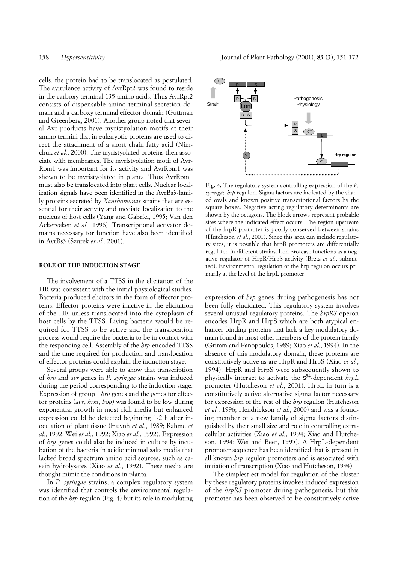cells, the protein had to be translocated as postulated. The avirulence activity of AvrRpt2 was found to reside in the carboxy terminal 135 amino acids. Thus AvrRpt2 consists of dispensable amino terminal secretion domain and a carboxy terminal effector domain (Guttman and Greenberg, 2001). Another group noted that several Avr products have myristyolation motifs at their amino termini that in eukaryotic proteins are used to direct the attachment of a short chain fatty acid (Nimchuk *et al.*, 2000). The myristyolated proteins then associate with membranes. The myristyolation motif of Avr-Rpm1 was important for its activity and AvrRpm1 was shown to be myristyolated in planta. Thus AyrRpm1 must also be translocated into plant cells. Nuclear localization signals have been identified in the AvrBs3-family proteins secreted by *Xanthomonas* strains that are essential for their activity and mediate localization to the nucleus of host cells (Yang and Gabriel, 1995; Van den Ackerveken *et al.*, 1996). Transcriptional activator domains necessary for function have also been identified in AvrBs3 (Szurek *et al.*, 2001).

#### **ROLE OF THE INDUCTION STAGE**

The involvement of a TTSS in the elicitation of the HR was consistent with the initial physiological studies. Bacteria produced elicitors in the form of effector proteins. Effector proteins were inactive in the elicitation of the HR unless translocated into the cytoplasm of host cells by the TTSS. Living bacteria would be required for TTSS to be active and the translocation process would require the bacteria to be in contact with the responding cell. Assembly of the *hrp*-encoded TTSS and the time required for production and translocation of effector proteins could explain the induction stage.

Several groups were able to show that transcription of *hrp* and *avr* genes in *P. syringae* strains was induced during the period corresponding to the induction stage. Expression of group I *hrp* genes and the genes for effector proteins (*avr*, *hrm*, *hop*) was found to be low during exponential growth in most rich media but enhanced expression could be detected beginning 1-2 h after inoculation of plant tissue (Huynh *et al.*, 1989; Rahme *et al.*, 1992; Wei *et al.*, 1992; Xiao *et al.*, 1992). Expression of *hrp* genes could also be induced in culture by incubation of the bacteria in acidic minimal salts media that lacked broad spectrum amino acid sources, such as casein hydrolysates (Xiao *et al.*, 1992). These media are thought mimic the conditions in planta.

In *P. syringae* strains, a complex regulatory system was identified that controls the environmental regulation of the *hrp* regulon (Fig. 4) but its role in modulating



**Fig. 4.** The regulatory system controlling expression of the *P. syringae hrp* regulon. Sigma factors are indicated by the shaded ovals and known positive transcriptional factors by the square boxes. Negative acting regulatory determinants are shown by the octagons. The block arrows represent probable sites where the indicated effect occurs. The region upstream of the hrpR promoter is poorly conserved between strains (Hutcheson *et al.*, 2001). Since this area can include regulatory sites, it is possible that hrpR promoters are differentially regulated in different strains. Lon protease functions as a negative regulator of HrpR/HrpS activity (Bretz *et al.*, submitted). Environmental regulation of the hrp regulon occurs primarily at the level of the hrpL promoter.

expression of *hrp* genes during pathogenesis has not been fully elucidated. This regulatory system involves several unusual regulatory proteins. The *hrpRS* operon encodes HrpR and HrpS which are both atypical enhancer binding proteins that lack a key modulatory domain found in most other members of the protein family (Grimm and Panopoulos, 1989; Xiao *et al.*, 1994). In the absence of this modulatory domain, these proteins are constitutively active as are HrpR and HrpS (Xiao *et al.*, 1994). HrpR and HrpS were subsequently shown to physically interact to activate the  $s^{54}$ -dependent *hrpL* promoter (Hutcheson *et al.*, 2001). HrpL in turn is a constitutively active alternative sigma factor necessary for expression of the rest of the *hrp* regulon (Hutcheson *et al.*, 1996; Hendrickson *et al.*, 2000) and was a founding member of a new family of sigma factors distinguished by their small size and role in controlling extracellular activities (Xiao *et al.*, 1994; Xiao and Hutcheson, 1994; Wei and Beer, 1995). A HrpL-dependent promoter sequence has been identified that is present in all known *hrp* regulon promoters and is associated with initiation of transcription (Xiao and Hutcheson, 1994).

The simplest est model for regulation of the cluster by these regulatory proteins invokes induced expression of the *hrpRS* promoter during pathogenesis, but this promoter has been observed to be constitutively active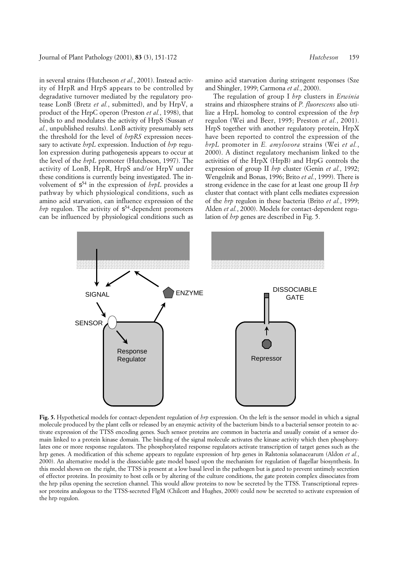in several strains (Hutcheson *et al.*, 2001). Instead activity of HrpR and HrpS appears to be controlled by degradative turnover mediated by the regulatory protease LonB (Bretz *et al.*, submitted), and by HrpV, a product of the HrpC operon (Preston *et al.*, 1998), that binds to and modulates the activity of HrpS (Sussan *et al.*, unpublished results). LonB activity presumably sets the threshold for the level of *hrpRS* expression necessary to activate *hrpL* expression. Induction of *hrp* regulon expression during pathogenesis appears to occur at the level of the *hrpL* promoter (Hutcheson, 1997). The activity of LonB, HrpR, HrpS and/or HrpV under these conditions is currently being investigated. The involvement of  $s^{54}$  in the expression of *hrpL* provides a pathway by which physiological conditions, such as amino acid starvation, can influence expression of the *hrp* regulon. The activity of  $s^{54}$ -dependent promoters can be influenced by physiological conditions such as

amino acid starvation during stringent responses (Sze and Shingler, 1999; Carmona *et al.*, 2000).

The regulation of group I *hrp* clusters in *Erwinia* strains and rhizosphere strains of *P. fluorescens* also utilize a HrpL homolog to control expression of the *hrp* regulon (Wei and Beer, 1995; Preston *et al.*, 2001). HrpS together with another regulatory protein, HrpX have been reported to control the expression of the *hrpL* promoter in *E. amylovora* strains (Wei *et al.*, 2000). A distinct regulatory mechanism linked to the activities of the HrpX (HrpB) and HrpG controls the expression of group II *hrp* cluster (Genin *et al.*, 1992; Wengelnik and Bonas, 1996; Brito *et al.*, 1999). There is strong evidence in the case for at least one group II *hrp* cluster that contact with plant cells mediates expression of the *hrp* regulon in these bacteria (Brito *et al.*, 1999; Alden *et al.*, 2000). Models for contact-dependent regulation of *hrp* genes are described in Fig. 5.



**Fig. 5.** Hypothetical models for contact-dependent regulation of *hrp* expression. On the left is the sensor model in which a signal molecule produced by the plant cells or released by an enzymic activity of the bacterium binds to a bacterial sensor protein to activate expression of the TTSS encoding genes. Such sensor proteins are common in bacteria and usually consist of a sensor domain linked to a protein kinase domain. The binding of the signal molecule activates the kinase activity which then phosphorylates one or more response regulators. The phosphorylated response regulators activate transcription of target genes such as the hrp genes. A modification of this scheme appears to regulate expression of hrp genes in Ralstonia solanacearum (Aldon *et al.*, 2000). An alternative model is the dissociable gate model based upon the mechanism for regulation of flagellar biosynthesis. In this model shown on the right, the TTSS is present at a low basal level in the pathogen but is gated to prevent untimely secretion of effector proteins. In proximity to host cells or by altering of the culture conditions, the gate protein complex dissociates from the hrp pilus opening the secretion channel. This would allow proteins to now be secreted by the TTSS. Transcriptional repressor proteins analogous to the TTSS-secreted FlgM (Chilcott and Hughes, 2000) could now be secreted to activate expression of the hrp regulon.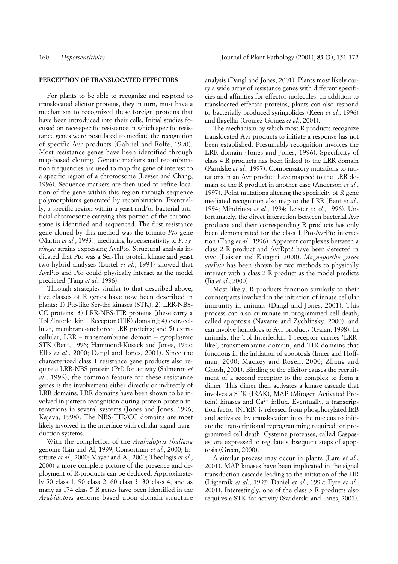# **PERCEPTION OF TRANSLOCATED EFFECTORS**

For plants to be able to recognize and respond to translocated elicitor proteins, they in turn, must have a mechanism to recognized these foreign proteins that have been introduced into their cells. Initial studies focused on race-specific resistance in which specific resistance genes were postulated to mediate the recognition of specific Avr products (Gabriel and Rolfe, 1990). Most resistance genes have been identified through map-based cloning. Genetic markers and recombination frequencies are used to map the gene of interest to a specific region of a chromosome (Leyser and Chang, 1996). Sequence markers are then used to refine location of the gene within this region through sequence polymorphisms generated by recombination. Eventually, a specific region within a yeast and/or bacterial artificial chromosome carrying this portion of the chromosome is identified and sequenced. The first resistance gene cloned by this method was the tomato *Pto* gene (Martin *et al.*, 1993), mediating hypersensitivity to *P. syringae* strains expressing AvrPto. Structural analysis indicated that Pto was a Ser-Thr protein kinase and yeast two-hybrid analyses (Bartel *et al.*, 1994) showed that AvrPto and Pto could physically interact as the model predicted (Tang *et al.*, 1996).

Through strategies similar to that described above, five classes of R genes have now been described in plants: 1) Pto-like Ser-thr kinases (STK); 2) LRR-NBS-CC proteins; 3) LRR-NBS-TIR proteins [these carry a Tol /Interleukin 1 Receptor (TIR) domain]; 4) extracellular, membrane-anchored LRR proteins; and 5) extracellular, LRR – transmembrane domain – cytoplasmic STK (Bent, 1996; Hammond-Kosack and Jones, 1997; Ellis *et al.*, 2000; Dangl and Jones, 2001). Since the characterized class 1 resistance gene products also require a LRR-NBS protein (Prf) for activity (Salmeron *et al.*, 1996), the common feature for these resistance genes is the involvement either directly or indirectly of LRR domains. LRR domains have been shown to be involved in pattern recognition during protein-protein interactions in several systems (Jones and Jones, 1996; Kajava, 1998). The NBS-TIR/CC domains are most likely involved in the interface with cellular signal transduction systems.

With the completion of the *Arabidopsis thaliana* genome (Lin and Al, 1999; Consortium *et al.*, 2000; Institute *et al.*, 2000; Mayer and Al, 2000; Theologis *et al.*, 2000) a more complete picture of the presence and deployment of R-products can be deduced. Approximately 50 class 1, 90 class 2, 60 class 3, 30 class 4, and as many as 174 class 5 R genes have been identified in the *Arabidopsis* genome based upon domain structure analysis (Dangl and Jones, 2001). Plants most likely carry a wide array of resistance genes with different specificies and affinities for effector molecules. In addition to translocated effector proteins, plants can also respond to bacterially produced syringolides (Keen *et al.*, 1996) and flagellin (Gomez-Gomez *et al.*, 2001).

The mechanism by which most R products recognize translocated Avr products to initiate a response has not been established. Presumably recognition involves the LRR domain (Jones and Jones, 1996). Specificity of class 4 R products has been linked to the LRR domain (Parniske *et al.*, 1997). Compensatory mutations to mutations in an Avr product have mapped to the LRR domain of the R product in another case (Anderson *et al.*, 1997). Point mutations altering the specificity of R gene mediated recognition also map to the LRR (Bent *et al.*, 1994; Mindrinos *et al.*, 1994; Leister *et al.*, 1996). Unfortunately, the direct interaction between bacterial Avr products and their corresponding R products has only been demonstrated for the class 1 Pto-AvrPto interaction (Tang *et al.*, 1996). Apparent complexes between a class 2 R product and AvrRpt2 have been detected in vivo (Leister and Katagiri, 2000). *Magnaporthe grisea avrPita* has been shown by two methods to physically interact with a class 2 R product as the model predicts (Jia *et al.*, 2000).

Most likely, R products function similarly to their counterparts involved in the initiation of innate cellular immunity in animals (Dangl and Jones, 2001). This process can also culminate in programmed cell death, called apoptosis (Navarre and Zychlinsky, 2000), and can involve homologs to Avr products (Galan, 1998). In animals, the Tol-Interleukin 1 receptor carries 'LRRlike', transmembrane domain, and TIR domains that functions in the initiation of apoptosis (Imler and Hoffman, 2000; Mackey and Rosen, 2000; Zhang and Ghosh, 2001). Binding of the elicitor causes the recruitment of a second receptor to the complex to form a dimer. This dimer then activates a kinase cascade that involves a STK (IRAK), MAP (Mitogen Activated Protein) kinases and  $Ca^{2+}$  influx. Eventually, a transcription factor (NFKB) is released from phosphorylated IKB and activated by translocation into the nucleus to initiate the transcriptional reprogramming required for programmed cell death. Cysteine proteases, called Caspases, are expressed to regulate subsequent steps of apoptosis (Green, 2000).

A similar process may occur in plants (Lam *et al.*, 2001). MAP kinases have been implicated in the signal transduction cascade leading to the initiation of the HR (Ligternik *et al.*, 1997; Daniel *et al.*, 1999; Fyre *et al.*, 2001). Interestingly, one of the class 3 R products also requires a STK for activity (Swiderski and Innes, 2001).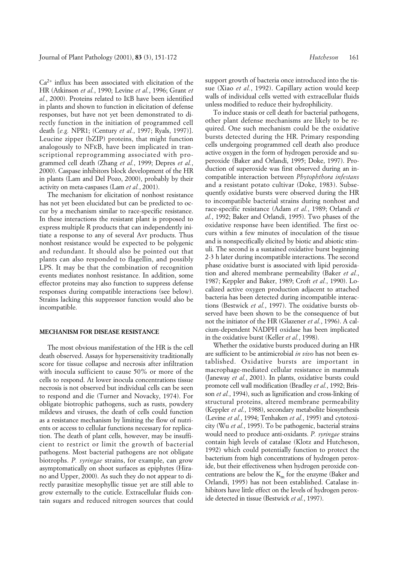$Ca<sup>2+</sup>$  influx has been associated with elicitation of the HR (Atkinson *et al.*, 1990; Levine *et al.*, 1996; Grant *et al.*, 2000). Proteins related to IKB have been identified in plants and shown to function in elicitation of defense responses, but have not yet been demonstrated to directly function in the initiation of programmed cell death [*e.g.* NPR1; (Century *et al.*, 1997; Ryals, 1997)]. Leucine zipper (bZIP) proteins, that might function analogously to NFKB, have been implicated in transcriptional reprogramming associated with programmed cell death (Zhang *et al.*, 1999; Depres *et al.*, 2000). Caspase inhibitors block development of the HR in plants (Lam and Del Pozo, 2000), probably by their activity on meta-caspases (Lam *et al.*, 2001).

The mechanism for elicitation of nonhost resistance has not yet been elucidated but can be predicted to occur by a mechanism similar to race-specific resistance. In these interactions the resistant plant is proposed to express multiple R products that can independently initiate a response to any of several Avr products. Thus nonhost resistance would be expected to be polygenic and redundant. It should also be pointed out that plants can also responded to flagellin, and possibly LPS. It may be that the combination of recognition events mediates nonhost resistance. In addition, some effector proteins may also function to suppress defense responses during compatible interactions (see below). Strains lacking this suppressor function would also be incompatible.

### **MECHANISM FOR DISEASE RESISTANCE**

The most obvious manifestation of the HR is the cell death observed. Assays for hypersensitivity traditionally score for tissue collapse and necrosis after infiltration with inocula sufficient to cause 50% or more of the cells to respond. At lower inocula concentrations tissue necrosis is not observed but individual cells can be seen to respond and die (Turner and Novacky, 1974). For obligate biotrophic pathogens, such as rusts, powdery mildews and viruses, the death of cells could function as a resistance mechanism by limiting the flow of nutrients or access to cellular functions necessary for replication. The death of plant cells, however, may be insufficient to restrict or limit the growth of bacterial pathogens. Most bacterial pathogens are not obligate biotrophs. *P. syringae* strains, for example, can grow asymptomatically on shoot surfaces as epiphytes (Hirano and Upper, 2000). As such they do not appear to directly parasitize mesophyllic tissue yet are still able to grow externally to the cuticle. Extracellular fluids contain sugars and reduced nitrogen sources that could

support growth of bacteria once introduced into the tissue (Xiao *et al.*, 1992). Capillary action would keep walls of individual cells wetted with extracellular fluids unless modified to reduce their hydrophilicity.

To induce stasis or cell death for bacterial pathogens, other plant defense mechanisms are likely to be required. One such mechanism could be the oxidative bursts detected during the HR. Primary responding cells undergoing programmed cell death also produce active oxygen in the form of hydrogen peroxide and superoxide (Baker and Orlandi, 1995; Doke, 1997). Production of superoxide was first observed during an incompatible interaction between *Phytophthora infestans* and a resistant potato cultivar (Doke, 1983). Subsequently oxidative bursts were observed during the HR to incompatible bacterial strains during nonhost and race-specific resistance (Adam *et al.*, 1989; Orlandi *et al.*, 1992; Baker and Orlandi, 1995). Two phases of the oxidative response have been identified. The first occurs within a few minutes of inoculation of the tissue and is nonspecifically elicited by biotic and abiotic stimuli. The second is a sustained oxidative burst beginning 2-3 h later during incompatible interactions. The second phase oxidative burst is associated with lipid peroxidation and altered membrane permeability (Baker *et al.*, 1987; Keppler and Baker, 1989; Croft *et al.*, 1990). Localized active oxygen production adjacent to attached bacteria has been detected during incompatible interactions (Bestwick *et al.*, 1997). The oxidative bursts observed have been shown to be the consequence of but not the initiator of the HR (Glazener *et al.*, 1996). A calcium-dependent NADPH oxidase has been implicated in the oxidative burst (Keller *et al.*, 1998).

Whether the oxidative bursts produced during an HR are sufficient to be antimicrobial *in vivo* has not been established. Oxidative bursts are important in macrophage-mediated cellular resistance in mammals (Janeway *et al.*, 2001). In plants, oxidative bursts could promote cell wall modification (Bradley *et al.*, 1992; Brisson *et al.*, 1994), such as lignification and cross-linking of structural proteins, altered membrane permeability (Keppler *et al.*, 1988), secondary metabolite biosynthesis (Levine *et al.*, 1994; Tenhaken *et al.*, 1995) and cytotoxicity (Wu *et al.*, 1995). To be pathogenic, bacterial strains would need to produce anti-oxidants. *P. syringae* strains contain high levels of catalase (Klotz and Hutcheson, 1992) which could potentially function to protect the bacterium from high concentrations of hydrogen peroxide, but their effectiveness when hydrogen peroxide concentrations are below the  $K<sub>m</sub>$  for the enzyme (Baker and Orlandi, 1995) has not been established. Catalase inhibitors have little effect on the levels of hydrogen peroxide detected in tissue (Bestwick *et al.*, 1997).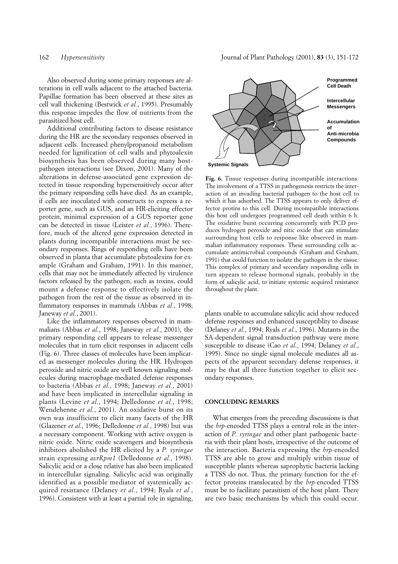Also observed during some primary responses are alterations in cell walls adjacent to the attached bacteria. Papillae formation has been observed at these sites as cell wall thickening (Bestwick *et al.*, 1995). Presumably this response impedes the flow of nutrients from the parasitized host cell.

Additional contributing factors to disease resistance during the HR are the secondary responses observed in adjacent cells. Increased phenylpropanoid metabolism needed for lignification of cell walls and phytoalexin biosynthesis has been observed during many hostpathogen interactions (see Dixon, 2001). Many of the alterations in defense-associated gene expression detected in tissue responding hypersensitively occur after the primary responding cells have died. As an example, if cells are inoculated with constructs to express a reporter gene, such as GUS, and an HR-eliciting effector protein, minimal expression of a GUS reporter gene can be detected in tissue (Leister *et al.*, 1996). Therefore, much of the altered gene expression detected in plants during incompatible interactions must be secondary responses. Rings of responding cells have been observed in planta that accumulate phytoalexins for example (Graham and Graham, 1991). In this manner, cells that may not be immediately affected by virulence factors released by the pathogen, such as toxins, could mount a defense response to effectively isolate the pathogen from the rest of the tissue as observed in inflammatory responses in mammals (Abbas *et al.*, 1998; Janeway *et al.*, 2001).

Like the inflammatory responses observed in mammalians (Abbas *et al.*, 1998; Janeway *et al.*, 2001), the primary responding cell appears to release messenger molecules that in turn elicit responses in adjacent cells (Fig. 6). Three classes of molecules have been implicated as messenger molecules during the HR. Hydrogen peroxide and nitric oxide are well known signaling molecules during macrophage-mediated defense responses to bacteria (Abbas *et al.*, 1998; Janeway *et al.*, 2001) and have been implicated in intercellular signaling in plants (Levine *et al.*, 1994; Delledonne *et al.*, 1998; Wendehenne *et al.*, 2001). An oxidative burst on its own was insufficient to elicit many facets of the HR (Glazener *et al.*, 1996; Delledonne *et al.*, 1998) but was a necessary component. Working with active oxygen is nitric oxide. Nitric oxide scavengers and biosynthesis inhibitors abolished the HR elicited by a *P. syringae* strain expressing *avrRpm1* (Delledonne *et al.*, 1998). Salicylic acid or a close relative has also been implicated in intercellular signaling. Salicylic acid was originally identified as a possible mediator of systemically acquired resistance (Delaney *et al.*, 1994; Ryals *et al.*, 1996). Consistent with at least a partial role in signaling,



**Fig. 6.** Tissue responses during incompatible interactions. The involvement of a TTSS in pathogenesis restricts the interaction of an invading bacterial pathogen to the host cell to which it has adsorbed. The TTSS appears to only deliver effector protins to this cell. During incompatible interactions this host cell undergoes programmed cell death within 6 h. The oxidative burst occurring concurrently with PCD produces hydrogen peroxide and nitic oxide that can stimulate surrounding host cells to response like observed in mammalian inflammatory responses. These surrounding cells accumulate antimicrobial compounds (Graham and Graham, 1991) that could function to isolate the pathogen in the tissue. This complex of primary and secondary responding cells in turn appears to release hormonal signals, probably in the form of salicylic acid, to initiate systemic acquired resistance throughout the plant.

plants unable to accumulate salicylic acid show reduced defense responses and enhanced susceptiblity to disease (Delaney *et al.*, 1994; Ryals *et al.*, 1996). Mutants in the SA-dependent signal transduction pathway were more susceptible to disease (Cao *et al.*, 1994; Delaney *et al.*, 1995). Since no single signal molecule mediates all aspects of the apparent secondary defense responses, it may be that all three function together to elicit secondary responses.

#### **CONCLUDING REMARKS**

What emerges from the preceding discussions is that the *hrp*-encoded TTSS plays a central role in the interaction of *P. syringae* and other plant pathogenic bacteria with their plant hosts, irrespective of the outcome of the interaction. Bacteria expressing the *hrp*-encoded TTSS are able to grow and multiply within tissue of susceptible plants whereas saprophytic bacteria lacking a TTSS do not. Thus, the primary function for the effector proteins translocated by the *hrp*-encoded TTSS must be to facilitate parasitism of the host plant. There are two basic mechanisms by which this could occur.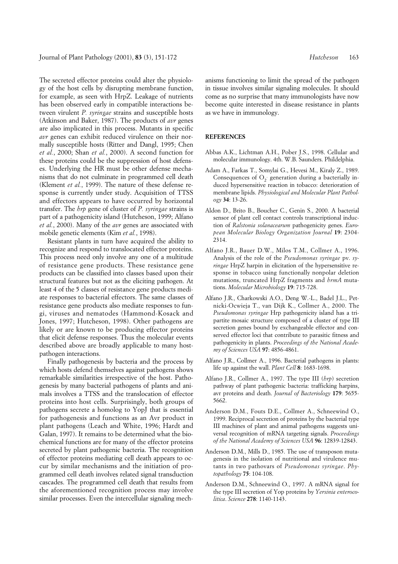The secreted effector proteins could alter the physiology of the host cells by disrupting membrane function, for example, as seen with HrpZ. Leakage of nutrients has been observed early in compatible interactions between virulent *P. syringae* strains and susceptible hosts (Atkinson and Baker, 1987). The products of *avr* genes are also implicated in this process. Mutants in specific *avr* genes can exhibit reduced virulence on their normally susceptible hosts (Ritter and Dangl, 1995; Chen *et al.*, 2000; Shan *et al.*, 2000). A second function for these proteins could be the suppression of host defenses. Underlying the HR must be other defense mechanisms that do not culminate in programmed cell death (Klement *et al.*, 1999). The nature of these defense response is currently under study. Acquisition of TTSS and effectors appears to have occurred by horizontal transfer. The *hrp* gene of cluster of *P. syringae* strains is part of a pathogenicity island (Hutcheson, 1999; Alfano *et al.*, 2000). Many of the *avr* genes are associated with mobile genetic elements (Kim *et al.*, 1998).

Resistant plants in turn have acquired the ability to recognize and respond to translocated effector proteins. This process need only involve any one of a multitude of resistance gene products. These resistance gene products can be classified into classes based upon their structural features but not as the eliciting pathogen. At least 4 of the 5 classes of resistance gene products mediate responses to bacterial effectors. The same classes of resistance gene products also mediate responses to fungi, viruses and nematodes (Hammond-Kosack and Jones, 1997; Hutcheson, 1998). Other pathogens are likely or are known to be producing effector proteins that elicit defense responses. Thus the molecular events described above are broadly applicable to many hostpathogen interactions.

Finally pathogenesis by bacteria and the process by which hosts defend themselves against pathogens shows remarkable similarities irrespective of the host. Pathogenesis by many bacterial pathogens of plants and animals involves a TTSS and the translocation of effector proteins into host cells. Surprisingly, both groups of pathogens secrete a homolog to YopJ that is essential for pathogenesis and functions as an Avr product in plant pathogens (Leach and White, 1996; Hardt and Galan, 1997). It remains to be determined what the biochemical functions are for many of the effector proteins secreted by plant pathogenic bacteria. The recognition of effector proteins mediating cell death appears to occur by similar mechanisms and the initiation of programmed cell death involves related signal transduction cascades. The programmed cell death that results from the aforementioned recognition process may involve similar processes. Even the intercellular signaling mech-

anisms functioning to limit the spread of the pathogen in tissue involves similar signaling molecules. It should come as no surprise that many immunologists have now become quite interested in disease resistance in plants as we have in immunology.

#### **REFERENCES**

- Abbas A.K., Lichtman A.H., Pober J.S., 1998. Cellular and molecular immunology. 4th. W.B. Saunders. Phildelphia.
- Adam A., Farkas T., Somylai G., Hevesi M., Kiraly Z., 1989. Consequences of  $O_2$  generation during a bacterially induced hypersensitive reaction in tobacco: deterioration of membrane lipids. *Physiological and Molecular Plant Pathology* **34**: 13-26.
- Aldon D., Brito B., Boucher C., Genin S., 2000. A bacterial sensor of plant cell contact controls transcriptional induction of *Ralstonia solanacearum* pathogenicity genes. *European Molecular Biology Organization Journal* **19**: 2304- 2314.
- Alfano J.R., Bauer D.W., Milos T.M., Collmer A., 1996. Analysis of the role of the *Pseudomonas syringae* pv. *syringae* HrpZ harpin in elicitation of the hypersensitive response in tobacco using functionally nonpolar deletion mutations, truncated HrpZ fragments and *hrmA* mutations. *Molecular Microbiology* **19**: 715-728.
- Alfano J.R., Charkowski A.O., Deng W.-L., Badel J.L., Petnicki-Ocwieja T., van Dijk K., Collmer A., 2000. The *Pseudomonas syringae* Hrp pathogenicity island has a tripartite mosaic structure composed of a cluster of type III secretion genes bound by exchangeable effector and conserved effector loci that contribute to parasitic fitness and pathogenicity in plants. *Proceedings of the National Academy of Sciences USA* **97**: 4856-4861.
- Alfano J.R., Collmer A., 1996. Bacterial pathogens in plants: life up against the wall. *Plant Cell* **8**: 1683-1698.
- Alfano J.R., Collmer A., 1997. The type III (*hrp*) secretion pathway of plant pathogenic bacteria: trafficking harpins, avr proteins and death. *Journal of Bacteriology* **179**: 5655- 5662.
- Anderson D.M., Fouts D.E., Collmer A., Schneewind O., 1999. Reciprocal secretion of proteins by the bacterial type III machines of plant and animal pathogens suggests universal recognition of mRNA targeting signals. *Proceedings of the National Academy of Sciences USA* **96**: 12839-12843.
- Anderson D.M., Mills D., 1985. The use of transposon mutagenesis in the isolation of nutritional and virulence mutants in two pathovars of *Pseudomonas syringae*. *Phytopathology* **75**: 104-108.
- Anderson D.M., Schneewind O., 1997. A mRNA signal for the type III secretion of Yop proteins by *Yersinia enterocolitica*. *Science* **278**: 1140-1143.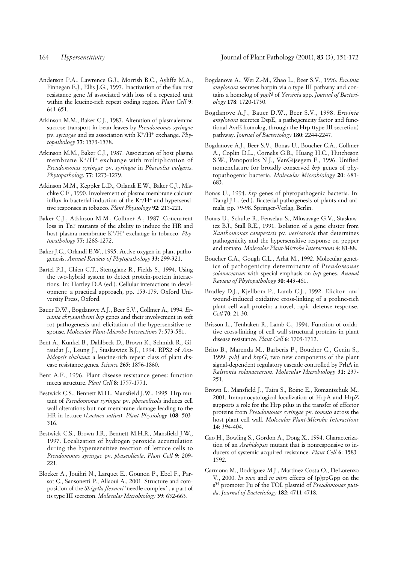- Anderson P.A., Lawrence G.J., Morrish B.C., Ayliffe M.A., Finnegan E.J., Ellis J.G., 1997. Inactivation of the flax rust resistance gene *M* associated with loss of a repeated unit within the leucine-rich repeat coding region. *Plant Cell* **9**: 641-651.
- Atkinson M.M., Baker C.J., 1987. Alteration of plasmalemma sucrose transport in bean leaves by *Pseudomonas syringae* pv. *syringae* and its association with K+/H+ exchange. *Phytopathology* **77**: 1573-1578.
- Atkinson M.M., Baker C.J., 1987. Association of host plasma membrane  $K^+/H^+$  exchange with multiplication of *Pseudomonas syringae* pv. *syringae* in *Phaseolus vulgaris*. *Phytopathology* **77**: 1273-1279.
- Atkinson M.M., Keppler L.D., Orlandi E.W., Baker C.J., Mischke C.F., 1990. Involvement of plasma membrane calcium influx in bacterial induction of the  $K^+/H^+$  and hypersensitive responses in tobacco. *Plant Physiology* **92**: 215-221.
- Baker C.J., Atkinson M.M., Collmer A., 1987. Concurrent loss in Tn*5* mutants of the ability to induce the HR and host plasma membrane K+/H+ exchange in tobacco. *Phytopathology* **77**: 1268-1272.
- Baker J.C., Orlandi E.W., 1995. Active oxygen in plant pathogenesis. *Annual Review of Phytopathology* **33**: 299-321.
- Bartel P.I., Chien C.T., Sternglanz R., Fields S., 1994. Using the two-hybrid system to detect protein-protein interactions. In: Hartley D.A (ed.). Cellular interactions in development: a practical approach, pp. 153-179. Oxford University Press, Oxford.
- Bauer D.W., Bogdanove A.J., Beer S.V., Collmer A., 1994. *Erwinia chrysanthemi hrp* genes and their involvement in soft rot pathogenesis and elicitation of the hypersensitive response. *Molecular Plant-Microbe Interactions* **7**: 573-581.
- Bent A., Kunkel B., Dahlbeck D., Brown K., Schmidt R., Giraudat J., Leung J., Staskawicz B.J., 1994. RPS2 of *Arabidopsis thaliana*: a leucine-rich repeat class of plant disease resistance genes. *Science* **265**: 1856-1860.
- Bent A.F., 1996. Plant disease resistance genes: function meets structure. *Plant Cell* **8**: 1757-1771.
- Bestwick C.S., Bennett M.H., Mansfield J.W., 1995. Hrp mutant of *Pseudomonas syringae* pv. *phaseolicola* induces cell wall alterations but not membrane damage leading to the HR in lettuce (*Lactuca sativa*). *Plant Physiology* **108**: 503- 516.
- Bestwick C.S., Brown I.R., Bennett M.H.R., Mansfield J.W., 1997. Localization of hydrogen peroxide accumulation during the hypersensitive reaction of lettuce cells to *Pseudomonas syringae* pv. *phaseolicola*. *Plant Cell* **9**: 209- 221.
- Blocker A., Jouihri N., Larquet E., Gounon P., Ebel F., Parsot C., Sansonetti P., Allaoui A., 2001. Structure and composition of the *Shigella flexneri* 'needle complex' , a part of its type III secreton. *Molecular Microbiology* **39**: 652-663.
- Bogdanove A., Wei Z.-M., Zhao L., Beer S.V., 1996. *Erwinia amylovora* secretes harpin via a type III pathway and contains a homolog of *yopN* of *Yersinia* spp. *Journal of Bacteriology* **178**: 1720-1730.
- Bogdanove A.J., Bauer D.W., Beer S.V., 1998. *Erwinia amylovora* secretes DspE, a pathogenicity factor and functional AvrE homolog, through the Hrp (type III secretion) pathway. *Journal of Bacteriology* **180**: 2244-2247.
- Bogdanove A.J., Beer S.V., Bonas U., Boucher C.A., Collmer A., Coplin D.L., Cornelis G.R., Huang H.C., Hutcheson S.W., Panopoulos N.J., VanGijsegem F., 1996. Unified nomenclature for broadly conserved *hrp* genes of phytopathogenic bacteria. *Molecular Microbiology* **20**: 681- 683.
- Bonas U., 1994. *hrp* genes of phytopathogenic bacteria. In: Dangl J.L. (ed.). Bacterial pathogenesis of plants and animals, pp. 79-98. Springer-Verlag, Berlin.
- Bonas U., Schulte R., Fenselau S., Minsavage G.V., Staskawicz B.J., Stall R.E., 1991. Isolation of a gene cluster from *Xanthomonas campestris* pv. *vesicatoria* that determines pathogenicity and the hypersensitive response on pepper and tomato. *Molecular Plant-Microbe Interactions* **4**: 81-88.
- Boucher C.A., Gough C.L., Arlat M., 1992. Molecular genetics of pathogenicity determinants of *Pseudomonas solanacearum* with special emphasis on *hrp* genes. *Annual Review of Phytopathology* **30**: 443-461.
- Bradley D.J., Kjellbom P., Lamb C.J., 1992. Elicitor- and wound-induced oxidative cross-linking of a proline-rich plant cell wall protein: a novel, rapid defense response. *Cell* **70**: 21-30.
- Brisson L., Tenhaken R., Lamb C., 1994. Function of oxidative cross-linking of cell wall structural proteins in plant disease resistance. *Plant Cell* **6**: 1703-1712.
- Brito B., Marenda M., Barberis P., Boucher C., Genin S., 1999. *prhJ* and *hrpG*, two new components of the plant signal-dependent regulatory cascade controlled by PrhA in *Ralstonia solanacearum*. *Molecular Microbiology* **31**: 237- 251.
- Brown I., Mansfield J., Taira S., Roine E., Romantschuk M., 2001. Immunocytological localization of HrpA and HrpZ supports a role for the Hrp pilus in the transfer of effector proteins from *Pseudomonas syringae* pv. *tomato* across the host plant cell wall. *Molecular Plant-Microbe Interactions* **14**: 394-404.
- Cao H., Bowling S., Gordon A., Dong X., 1994. Characterization of an *Arabidopsis* mutant that is nonresponsive to inducers of systemic acquired resistance. *Plant Cell* **6**: 1583- 1592.
- Carmona M., Rodriguez M.J., Martinez-Costa O., DeLorenzo V., 2000. *In vivo* and *in vitro* effects of (p)ppGpp on the s54 promoter Pu of the TOL plasmid of *Pseudomonas putida*. *Journal of Bacteriology* **182**: 4711-4718.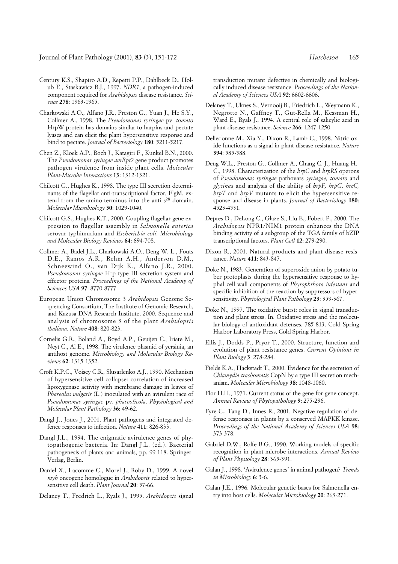- Century K.S., Shapiro A.D., Repetti P.P., Dahlbeck D., Holub E., Staskawicz B.J., 1997. *NDR1*, a pathogen-induced component required for *Arabidopsis* disease resistance. *Science* **278**: 1963-1965.
- Charkowski A.O., Alfano J.R., Preston G., Yuan J., He S.Y., Collmer A., 1998. The *Pseudomonas syringae* pv. *tomato* HrpW protein has domains similar to harpins and pectate lyases and can elicit the plant hypersensitive response and bind to pectate. *Journal of Bacteriology* **180**: 5211-5217.
- Chen Z., Kloek A.P., Boch J., Katagiri F., Kunkel B.N., 2000. The *Pseudomonas syringae avrRpt2* gene product promotes pathogen virulence from inside plant cells. *Molecular Plant-Microbe Interactions* **13**: 1312-1321.
- Chilcott G., Hughes K., 1998. The type III secretion determinants of the flagellar anti-transcriptional factor, FlgM, extend from the amino-terminus into the anti-s<sup>28</sup> domain. *Molecular Microbiology* **30**: 1029-1040.
- Chilcott G.S., Hughes K.T., 2000. Coupling flagellar gene expression to flagellar assembly in *Salmonella enterica* serovar typhimurium and *Escherichia coli*. *Microbiology and Molecular Biology Reviews* **64**: 694-708.
- Collmer A., Badel J.L., Charkowski A.O., Deng W.-L., Fouts D.E., Ramos A.R., Rehm A.H., Anderson D.M., Schneewind O., van Dijk K., Alfano J.R., 2000. *Pseudomonas syringae* Hrp type III secretion system and effector proteins. *Proceedings of the National Academy of Sciences USA* **97**: 8770-8777.
- European Union Chromosome 3 *Arabidopsis* Genome Sequencing Consortium, The Institute of Genomic Research, and Kazusa DNA Research Institute, 2000. Sequence and analysis of chromosome 3 of the plant *Arabidopsis thaliana*. *Nature* **408**: 820-823.
- Cornelis G.R., Boland A., Boyd A.P., Geuijen C., Iriate M., Neyt C., Al E., 1998. The virulence plasmid of yersinia, an antihost genome. *Microbiology and Molecular Biology Reviews* **62**: 1315-1352.
- Croft K.P.C., Voisey C.R., Slusarlenko A.J., 1990. Mechanism of hypersensitive cell collapse: correlation of increased lipoxygenase activity with membrane damage in leaves of *Phaseolus vulgaris* (L.) inoculated with an avirulent race of *Pseudomonas syringae* pv. *phaseolicola*. *Physiological and Molecular Plant Pathology* **36**: 49-62.
- Dangl J., Jones J., 2001. Plant pathogens and integrated defence responses to infection. *Nature* **411**: 826-833.
- Dangl J.L., 1994. The enigmatic avirulence genes of phytopathogenic bacteria. In: Dangl J.L. (ed.). Bacterial pathogenesis of plants and animals, pp. 99-118. Springer-Verlag, Berlin.
- Daniel X., Lacomme C., Morel J., Roby D., 1999. A novel *myb* oncogene homologue in *Arabidopsis* related to hypersensitive cell death. *Plant Journal* **20**: 57-66.
- Delaney T., Fredrich L., Ryals J., 1995. *Arabidopsis* signal

transduction mutant defective in chemically and biologically induced disease resistance. *Proceedings of the National Academy of Sciences USA* **92**: 6602-6606.

- Delaney T., Uknes S., Vernooij B., Friedrich L., Weymann K., Negrotto N., Gaffney T., Gut-Rella M., Kessman H., Ward E., Ryals J., 1994. A central role of salicylic acid in plant disease resistance. *Science* **266**: 1247-1250.
- Delledonne M., Xia Y., Dixon R., Lamb C., 1998. Nitric oxide functions as a signal in plant disease resistance. *Nature* **394**: 585-588.
- Deng W.L., Preston G., Collmer A., Chang C.-J., Huang H.- C., 1998. Characterization of the *hrpC* and *hrpRS* operons of *Pseudomonas syringae* pathovars *syringae, tomato* and *glycinea* and analysis of the ability of *hrpF, hrpG, hrcC, hrpT* and *hrpV* mutants to elicit the hypersensitive response and disease in plants. *Journal of Bacteriology* **180**: 4523-4531.
- Depres D., DeLong C., Glaze S., Liu E., Fobert P., 2000. The *Arabidopsis* NPR1/NIM1 protein enhances the DNA binding activity of a subgroup of the TGA family of bZIP transcriptional factors. *Plant Cell* **12**: 279-290.
- Dixon R., 2001. Natural products and plant disease resistance. *Nature* **411**: 843-847.
- Doke N., 1983. Generation of superoxide anion by potato tuber protoplasts during the hypersensitive response to hyphal cell wall components of *Phytophthora infestans* and specific inhibition of the reaction by suppressors of hypersensitivity. *Physiological Plant Pathology* **23**: 359-367.
- Doke N., 1997. The oxidative burst: roles in signal transduction and plant stress. In. Oxidative stress and the molecular biology of antioxidant defenses. 785-813. Cold Spring Harbor Laboratory Press, Cold Spring Harbor.
- Ellis J., Dodds P., Pryor T., 2000. Structure, function and evolution of plant resistance genes. *Current Opinions in Plant Biology* **3**: 278-284.
- Fields K.A., Hackstadt T., 2000. Evidence for the secretion of *Chlamydia trachomatis* CopN by a type III secretion mechanism. *Molecular Microbiology* **38**: 1048-1060.
- Flor H.H., 1971. Current status of the gene-for-gene concept. *Annual Review of Phytopathology* **9**: 275-296.
- Fyre C., Tang D., Innes R., 2001. Negative regulation of defense responses in plants by a conserved MAPKK kinase. *Proceedings of the National Academy of Sciences USA* **98**: 373-378.
- Gabriel D.W., Rolfe B.G., 1990. Working models of specific recognition in plant-microbe interactions. *Annual Review of Plant Physiology* **28**: 365-391.
- Galan J., 1998. 'Avirulence genes' in animal pathogen? *Trends in Microbiology* **6**: 3-6.
- Galan J.E., 1996. Molecular genetic bases for Salmonella entry into host cells. *Molecular Microbiology* **20**: 263-271.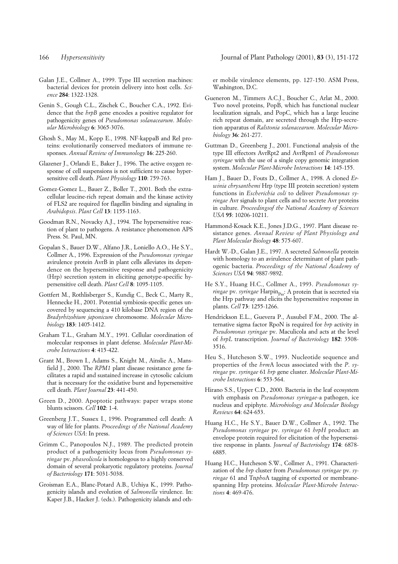- Galan J.E., Collmer A., 1999. Type III secretion machines: bacterial devices for protein delivery into host cells. *Science* **284**: 1322-1328.
- Genin S., Gough C.L., Zischek C., Boucher C.A., 1992. Evidence that the *hrpB* gene encodes a positive regulator for pathogenicity genes of *Pseudomonas solanacearum*. *Molecular Microbiology* **6**: 3065-3076.
- Ghosh S., May M., Kopp E., 1998. NF-kappaB and Rel proteins: evolutionarily conserved mediators of immune responses. *Annual Review of Immunology* **16**: 225-260.
- Glazener J., Orlandi E., Baker J., 1996. The active oxygen response of cell suspensions is not sufficient to cause hypersensitive cell death. *Plant Physiology* **110**: 759-763.
- Gomez-Gomez L., Bauer Z., Boller T., 2001. Both the extracellular leucine-rich repeat domain and the kinase activity of FLS2 are required for flagellin binding and signaling in *Arabidopsis*. *Plant Cell* **13**: 1155-1163.
- Goodman R.N., Novacky A.J., 1994. The hypersensitive reaction of plant to pathogens. A resistance phenomenon APS Press. St. Paul, MN.
- Gopalan S., Bauer D.W., Alfano J.R., Loniello A.O., He S.Y., Collmer A., 1996. Expression of the *Pseudomonas syringae* avirulence protein AvrB in plant cells alleviates its dependence on the hypersensitive response and pathogenicity (Hrp) secretion system in eliciting genotype-specific hypersensitive cell death. *Plant Cell* **8**: 1095-1105.
- Gottfert M., Rothlisberger S., Kundig C., Beck C., Marty R., Hennecke H., 2001. Potential symbiosis-specific genes uncovered by sequencing a 410 kilobase DNA region of the *Bradyrhizobium japonicum* chromosome. *Molecular Microbiology* **183**: 1405-1412.
- Graham T.L., Graham M.Y., 1991. Cellular coordination of molecular responses in plant defense. *Molecular Plant-Microbe Interactions* **4**: 415-422.
- Grant M., Brown I., Adams S., Knight M., Ainslie A., Mansfield J., 2000. The *RPM1* plant disease resistance gene facilitates a rapid and sustained increase in cytosolic calcium that is necessary for the oxidative burst and hypersensitive cell death. *Plant Journal* **23**: 441-450.
- Green D., 2000. Apoptotic pathways: paper wraps stone blunts scissors. *Cell* **102**: 1-4.
- Greenberg J.T., Sussex I., 1996. Programmed cell death: A way of life for plants. *Proceedings of the National Academy of Sciences USA*: In press.
- Grimm C., Panopoulos N.J., 1989. The predicted protein product of a pathogenicity locus from *Pseudomonas syringae* pv. *phaseolicola* is homologous to a highly conserved domain of several prokaryotic regulatory proteins. *Journal of Bacteriology* **171**: 5031-5038.
- Groisman E.A., Blanc-Potard A.B., Uchiya K., 1999. Pathogenicity islands and evolution of *Salmonella* virulence. In: Kaper J.B., Hacker J. (eds.). Pathogenicity islands and oth-

er mobile virulence elements, pp. 127-150. ASM Press, Washington, D.C.

- Gueneron M., Timmers A.C.J., Boucher C., Arlat M., 2000. Two novel proteins, PopB, which has functional nuclear localization signals, and PopC, which has a large leucine rich repeat domain, are secreted through the Hrp-secretion apparatus of *Ralstonia solanacearum*. *Molecular Microbiology* **36**: 261-277.
- Guttman D., Greenberg J., 2001. Functional analysis of the type III effectors AvrRpt2 and AvrRpm1 of *Pseudomonas syringae* with the use of a single copy genomic integration system. *Molecular Plant-Microbe Interactions* **14**: 145-155.
- Ham J., Bauer D., Fouts D., Collmer A., 1998. A cloned *Erwinia chrysanthemi* Hrp (type III protein secretion) system functions in *Escherichia coli* to deliver *Pseudomonas syringae* Avr signals to plant cells and to secrete Avr proteins in culture. *Proceedingsof the National Academy of Sciences USA* **95**: 10206-10211.
- Hammond-Kosack K.E., Jones J.D.G., 1997. Plant disease resistance genes. *Annual Review of Plant Physiology and Plant Molecular Biology* **48**: 575-607.
- Hardt W.-D., Galan J.E., 1997. A secreted *Salmonella* protein with homology to an avirulence determinant of plant pathogenic bacteria. *Proceedings of the National Academy of Sciences USA* **94**: 9887-9892.
- He S.Y., Huang H.C., Collmer A., 1993. *Pseudomonas syringae* pv. *syringae* Harpin<sub>pss</sub>: A protein that is secreted via the Hrp pathway and elicits the hypersensitive response in plants. *Cell* **73**: 1255-1266.
- Hendrickson E.L., Guevera P., Ausubel F.M., 2000. The alternative sigma factor RpoN is required for *hrp* activity in *Pseudomonas syringae* pv. Maculicola and acts at the level of *hrpL* transcription. *Journal of Bacteriology* **182**: 3508- 3516.
- Heu S., Hutcheson S.W., 1993. Nucleotide sequence and properties of the *hrm*A locus associated with the *P*. *syringae* pv. *syringae* 61 *hrp* gene cluster. *Molecular Plant-Microbe Interactions* **6**: 553-564.
- Hirano S.S., Upper C.D., 2000. Bacteria in the leaf ecosystem with emphasis on *Pseudomonas syringae*-a pathogen, ice nucleus and epiphyte. *Microbiology and Molecular Biology Reviews* **64**: 624-653.
- Huang H.C., He S.Y., Bauer D.W., Collmer A., 1992. The *Pseudomonas syringae* pv. *syringae* 61 *hrpH* product: an envelope protein required for elicitation of the hypersensitive response in plants. *Journal of Bacteriology* **174**: 6878- 6885.
- Huang H.C., Hutcheson S.W., Collmer A., 1991. Characterization of the *hrp* cluster from *Pseudomonas syringae* pv. *syringae* 61 and Tn*pho*A tagging of exported or membranespanning Hrp proteins. *Molecular Plant-Microbe Interactions* **4**: 469-476.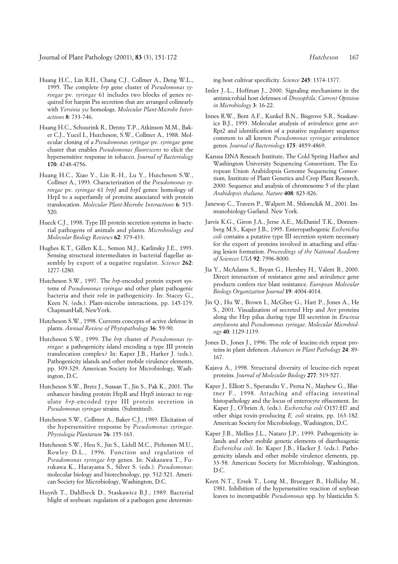- Huang H.C., Lin R.H., Chang C.J., Collmer A., Deng W.L., 1995. The complete *hrp* gene cluster of *Pseudomonas syringae* pv. *syringae* 61 includes two blocks of genes required for harpin Pss secretion that are arranged colinearly with *Yersinia ysc* homologs. *Molecular Plant-Microbe Interactions* **8**: 733-746.
- Huang H.C., Schuurink R., Denny T.P., Atkinson M.M., Baker C.J., Yucel I., Hutcheson, S.W., Collmer A., 1988. Molecular cloning of a *Pseudomonas syringae* pv. *syringae* gene cluster that enables *Pseudomonas fluorescens* to elicit the hypersensitive response in tobacco. *Journal of Bacteriology* **170**: 4748-4756.
- Huang H.C., Xiao Y., Lin R.-H., Lu Y., Hutcheson S.W., Collmer A., 1993. Characterization of the *Pseudomonas syringae* pv. *syringae* 61 *hrpJ* and *hrpI* genes: homology of HrpI to a superfamily of proteins associated with protein translocation. *Molecular Plant-Microbe Interactions* **6**: 515- 520.
- Hueck C.J., 1998. Type III protein secretion systems in bacterial pathogens of animals and plants. *Microbiology and Molecular Biology Reviews* **62**: 379-433.
- Hughes K.T., Gillen K.L., Semon M.J., Karlinsky J.E., 1993. Sensing structural intermediates in bacterial flagellar assembly by export of a negative regulator. *Science* **262**: 1277-1280.
- Hutcheson S.W., 1997. The *hrp*-encoded protein export systems of *Pseudomonas syringae* and other plant pathogenic bacteria and their role in pathogenicity. In: Stacey G., Keen N. (eds.). Plant-microbe interactions, pp. 145-179. ChapmanHall, NewYork.
- Hutcheson S.W., 1998. Currents concepts of active defense in plants. *Annual Review of Phytopathology* **36**: 59-90.
- Hutcheson S.W., 1999. The *hrp* cluster of *Pseudomonas syringae*: a pathogenicity island encoding a type III protein translocation complex? In: Kaper J.B., Harker J. (eds.). Pathogenicity islands and other mobile virulence elements, pp. 309-329. American Society for Microbiology, Washington, D.C.
- Hutcheson S.W., Bretz J., Sussan T., Jin S., Pak K., 2001. The enhancer binding protein HrpR and HrpS interact to regulate *hrp*-encoded type III protein secretion in *Pseudomonas syringae* strains. (Submitted).
- Hutcheson S.W., Collmer A., Baker C.J., 1989. Elicitation of the hypersensitive response by *Pseudomonas syringae*. *Physiologia Plantarum* **76**: 155-163.
- Hutcheson S.W., Heu S., Jin S., Lidell M.C., Pirhonen M.U., Rowley D.L., 1996. Function and regulation of *Pseudomonas syringae hrp* genes. In: Nakazawa T., Furukawa K., Harayama S., Silver S. (eds.). *Pseudomonas*: molecular biology and biotechnology, pp. 512-521. American Society for Microbiology, Washington, D.C.
- Huynh T., Dahlbeck D., Staskawicz B.J., 1989. Bacterial blight of soybean: regulation of a pathogen gene determin-

ing host cultivar specificity. *Science* **245**: 1374-1377.

- Imler J.-L., Hoffman J., 2000. Signaling mechanisms in the antimicrobial host defenses of *Drosophila*. *Current Opinion in Microbiology* **3**: 16-22.
- Innes R.W., Bent A.F., Kunkel B.N., Bisgrove S.R., Staskawicz B.J., 1993. Molecular analysis of avirulence gene *avr-*Rpt2 and identification of a putative regulatory sequence common to all known *Pseudomonas syringae* avirulence genes. *Journal of Bacteriology* **175**: 4859-4869.
- Kazusa DNA Reseach Institute, The Cold Spring Harbor and Washington University Sequencing Consortium, The European Union Arabidopsis Genome Sequencing Consortium, Institute of Plant Genetics and Crop Plant Research, 2000. Sequence and analysis of chromosome 5 of the plant *Arabidopsis thaliana*. *Nature* **408**: 823-826.
- Janeway C., Travers P., Walpert M., Shlomckik M., 2001. Immunobiology Garland. New York.
- Jarvis K.G., Giron J.A., Jerse A.E., McDaniel T.K., Donnenberg M.S., Kaper J.B., 1995. Enteropathogenic *Escherichia coli* contains a putative type III secretion system necessary for the export of proteins involved in attaching and effacing lesion formation. *Proceedings of the National Academy of Sciences USA* **92**: 7996-8000.
- Jia Y., McAdams S., Bryan G., Hershey H., Valent B., 2000. Direct interaction of resistance gene and avirulence gene products confers rice blast resistance. *European Molecular Biology Organization Journal* **19**: 4004-4014.
- Jin Q., Hu W., Brown I., McGhee G., Hart P., Jones A., He S., 2001. Visualization of secreted Hrp and Avr proteins along the Hrp pilus during type III secretion in *Erwinia amylovora* and *Pseudomonas syringae*. *Molecular Microbiology* **40**: 1129-1139.
- Jones D., Jones J., 1996. The role of leucine-rich repeat proteins in plant defences. *Advances in Plant Pathology* **24**: 89- 167.
- Kajava A., 1998. Structural diversity of leucine-rich repeat proteins. *Journal of Molecular Biology* **277**: 519-527.
- Kaper J., Elliott S., Sperandio V., Perna N., Mayhew G., Blattner F., 1998. Attaching and effacing intestinal histopathology and the locus of enterocyte effacement. In: Kaper J., O'brien A. (eds.). *Escherichia coli* O157:H7 and other shiga toxin-producing *E. coli* strains, pp. 163-182. American Society for Microbiology, Washington, D.C.
- Kaper J.B., Mellies J.L., Nataro J.P., 1999. Pathogenicity islands and other mobile genetic elements of diarrheagenic *Escherichia coli*. In: Kaper J.B., Hacker J. (eds.). Pathogenicity islands and other mobile virulence elements, pp. 33-58. American Society for Microbiology, Washington, D.C.
- Keen N.T., Ersek T., Long M., Bruegger B., Holliday M., 1981. Inhibition of the hypersensitive reaction of soybean leaves to incompatible *Pseudomonas* spp. by blasticidin S,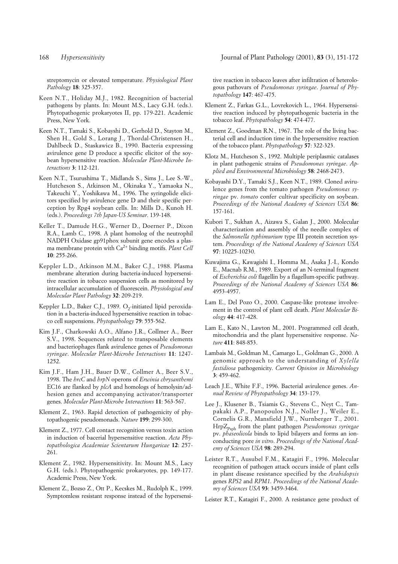streptomycin or elevated temperature. *Physiological Plant Pathology* **18**: 325-357.

- Keen N.T., Holiday M.J., 1982. Recognition of bacterial pathogens by plants. In: Mount M.S., Lacy G.H. (eds.). Phytopathogenic prokaryotes II, pp. 179-221. Academic Press, New York.
- Keen N.T., Tamaki S., Kobayshi D., Gerhold D., Stayton M., Shen H., Gold S., Lorang J., Thordal-Christensen H., Dahlbeck D., Staskawicz B., 1990. Bacteria expressing avirulence gene D produce a specific elicitor of the soybean hypersensitive reaction. *Molecular Plant-Microbe Interactions* **3**: 112-121.
- Keen N.T., Tsurushima T., Midlands S., Sims J., Lee S.-W., Hutcheson S., Atkinson M., Okinaka Y., Yamaoka N., Takeuchi Y., Yoshikawa M., 1996. The syringolide elicitors specified by avirulence gene D and their specific perception by Rpg4 soybean cells. In: Mills D., Kunoh H. (eds.). *Proceedings 7th Japan-US Seminar*. 139-148.
- Keller T., Damude H.G., Werner D., Doerner P., Dixon R.A., Lamb C., 1998. A plant homolog of the neutrophil NADPH Oxidase gp91phox subunit gene encodes a plasma membrane protein with Ca2+ binding motifs. *Plant Cell* **10**: 255-266.
- Keppler L.D., Atkinson M.M., Baker C.J., 1988. Plasma membrane alteration during bacteria-induced hypersensitive reaction in tobacco suspension cells as monitored by intracellular accumulation of fluorescein. *Physiological and Molecular Plant Pathology* **32**: 209-219.
- Keppler L.D., Baker C.J., 1989. O<sub>2</sub>-initiated lipid peroxidation in a bacteria-induced hypersensitive reaction in tobacco cell suspensions. *Phytopathology* **79**: 555-562.
- Kim J.F., Charkowski A.O., Alfano J.R., Collmer A., Beer S.V., 1998. Sequences related to transposable elements and bacteriophages flank avirulence genes of *Pseudomonas syringae*. *Molecular Plant-Microbe Interactions* **11**: 1247- 1252.
- Kim J.F., Ham J.H., Bauer D.W., Collmer A., Beer S.V., 1998. The *hrcC* and *hrpN* operons of *Erwinia chrysanthemi* EC16 are flanked by *plcA* and homologs of hemolysin/adhesion genes and accompanying activator/transporter genes. *Molecular Plant-Microbe Interactions* **11**: 563-567.
- Klement Z., 1963. Rapid detection of pathogenicity of phytopathogenic pseudomonads. *Nature* **199**: 299-300.
- Klement Z., 1977. Cell contact recognition versus toxin action in induction of bacerial hypersensitive reaction. *Acta Phytopathologica Academiae Scientarum Hungaricae* **12**: 257- 261.
- Klement Z., 1982. Hypersensitivity. In: Mount M.S., Lacy G.H. (eds.). Phytopathogenic prokaryotes, pp. 149-177. Academic Press, New York.
- Klement Z., Bozso Z., Ott P., Kecskes M., Rudolph K., 1999. Symptomless resistant response instead of the hypersensi-

tive reaction in tobacco leaves after infiltration of heterologous pathovars of *Pseudomonas syringae*. *Journal of Phytopathology* **147**: 467-475.

- Klement Z., Farkas G.L., Lovrekovich L., 1964. Hypersensitive reaction induced by phytopathogenic bacteria in the tobacco leaf. *Phytopathology* **54**: 474-477.
- Klement Z., Goodman R.N., 1967. The role of the living bacterial cell and induction time in the hypersensitive reaction of the tobacco plant. *Phytopathology* **57**: 322-323.
- Klotz M., Hutcheson S., 1992. Multiple periplasmic catalases in plant pathogenic strains of *Pseudomonas syringae*. *Applied and Environmental Microbiology* **58**: 2468-2473.
- Kobayashi D.Y., Tamaki S.J., Keen N.T., 1989. Cloned avirulence genes from the tomato pathogen *Pseudomonas syringae* pv. *tomato* confer cultivar specificity on soybean. *Proceedings of the National Academy of Sciences USA* **86**: 157-161.
- Kubori T., Sukhan A., Aizawa S., Galan J., 2000. Molecular characterization and assembly of the needle complex of the *Salmonella typhimurium* type III protein secretion system. *Proceedings of the National Academy of Sciences USA* **97**: 10225-10230.
- Kuwajima G., Kawagishi I., Homma M., Asaka J.-I., Kondo E., Macnab R.M., 1989. Export of an N-terminal fragment of *Escherichia coli* flagellin by a flagellum-specific pathway. *Proceedings of the National Academy of Sciences USA* **86**: 4953-4957.
- Lam E., Del Pozo O., 2000. Caspase-like protease involvement in the control of plant cell death. *Plant Molecular Biology* **44**: 417-428.
- Lam E., Kato N., Lawton M., 2001. Programmed cell death, mitochondria and the plant hypersensitive response. *Nature* **411**: 848-853.
- Lambais M., Goldman M., Camargo L., Goldman G., 2000. A genomic approach to the understanding of *Xylella fastidiosa* pathogenicity. *Current Opinion in Microbiology* **3**: 459-462.
- Leach J.E., White F.F., 1996. Bacterial avirulence genes. *Annual Review of Phytopathology* **34**: 153-179.
- Lee J., Klusener B., Tsiamis G., Stevens C., Neyt C., Tampakaki A.P., Panopoulos N.J., Noller J., Weiler E., Cornelis G.R., Mansfield J.W., Nurnberger T., 2001. HrpZ<sub>Psph</sub> from the plant pathogen *Pseudomonas syringae* pv. *phaseolicola* binds to lipid bilayers and forms an ionconducting pore *in vitro*. *Proceedings of the National Academy of Sciences USA* **98**: 289-294.
- Leister R.T., Ausubel F.M., Katagiri F., 1996. Molecular recognition of pathogen attack occurs inside of plant cells in plant disease resistance specified by the *Arabidopsis* genes *RPS2* and *RPM1*. *Proceedings of the National Academy of Sciences USA* **93**: 3459-3464.
- Leister R.T., Katagiri F., 2000. A resistance gene product of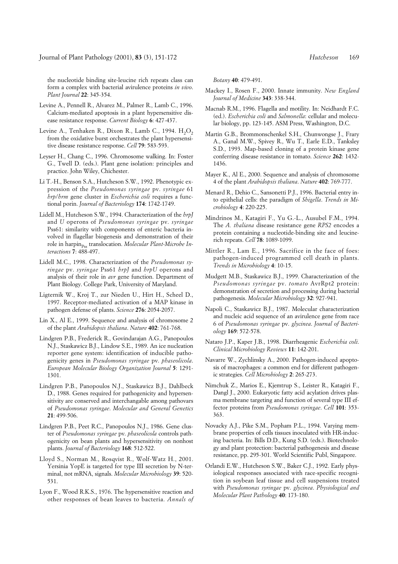the nucleotide binding site-leucine rich repeats class can form a complex with bacterial avirulence proteins *in vivo*. *Plant Journal* **22**: 345-354.

- Levine A., Pennell R., Alvarez M., Palmer R., Lamb C., 1996. Calcium-mediated apoptosis in a plant hypersensitive disease resistance response. *Current Biology* **6**: 427-437.
- Levine A., Tenhaken R., Dixon R., Lamb C., 1994.  $H_2O_2$ from the oxidative burst orchestrates the plant hypersensitive disease resistance response. *Cell* **79**: 583-593.
- Leyser H., Chang C., 1996. Chromosome walking. In: Foster G., Twell D. (eds.). Plant gene isolation: principles and practice. John Wiley, Chichester.
- Li T.-H., Benson S.A., Hutcheson S.W., 1992. Phenotypic expression of the *Pseudomonas syringae* pv. *syringae* 61 *hrp*/*hrm* gene cluster in *Escherichia coli* requires a functional porin. *Journal of Bacteriology* **174**: 1742-1749.
- Lidell M., Hutcheson S.W., 1994. Characterization of the *hrpJ* and *U* operons of *Pseudomonas syringae* pv. *syringae* Pss61: similarity with components of enteric bacteria involved in flagellar biogenesis and demonstration of their role in harpin<sub>Pss</sub> translocation. *Molecular Plant-Microbe Interactions* **7**: 488-497.
- Lidell M.C., 1998. Characterization of the *Pseudomonas syringae* pv. *syringae* Pss61 *hrpJ* and *hrpU* operons and analysis of their role in *avr* gene function. Department of Plant Biology. College Park, University of Maryland.
- Ligternik W., Kroj T., zur Nieden U., Hirt H., Scheel D., 1997. Receptor-mediated activation of a MAP kinase in pathogen defense of plants. *Science* **276**: 2054-2057.
- Lin X., Al E., 1999. Sequence and analysis of chromosome 2 of the plant *Arabidopsis thaliana*. *Nature* **402**: 761-768.
- Lindgren P.B., Frederick R., Govindarajan A.G., Panopoulos N.J., Staskawicz B.J., Lindow S.E., 1989. An ice nucleation reporter gene system: identification of inducible pathogenicity genes in *Pseudomonas syringae* pv. *phaseolicola*. *European Molecular Biology Organization Journal* **5**: 1291- 1301.
- Lindgren P.B., Panopoulos N.J., Staskawicz B.J., Dahlbeck D., 1988. Genes required for pathogenicity and hypersensitivity are conserved and interchangable among pathovars of *Pseudomonas syringae*. *Molecular and General Genetics* **21**: 499-506.
- Lindgren P.B., Peet R.C., Panopoulos N.J., 1986. Gene cluster of *Pseudomonas syringae* pv. *phaseolicola* controls pathogenicity on bean plants and hypersensitivity on nonhost plants. *Journal of Bacteriology* **168**: 512-522.
- Lloyd S., Norman M., Rosqvist R., Wolf-Watz H., 2001. Yersinia YopE is targeted for type III secretion by N-terminal, not mRNA, signals. *Molecular Microbiology* **39**: 520- 531.
- Lyon F., Wood R.K.S., 1976. The hypersensitive reaction and other responses of bean leaves to bacteria. *Annals of*

*Botany* **40**: 479-491.

- Mackey I., Rosen F., 2000. Innate immunity. *New England Journal of Medicine* **343**: 338-344.
- Macnab R.M., 1996. Flagella and motility. In: Neidhardt F.C. (ed.). *Escherichia coli* and *Salmonella*: cellular and molecular biology, pp. 123-145. ASM Press, Washington, D.C.
- Martin G.B., Brommonschenkel S.H., Chunwongse J., Frary A., Ganal M.W., Spivey R., Wu T., Earle E.D., Tanksley S.D., 1993. Map-based cloning of a protein kinase gene conferring disease resistance in tomato. *Science* **262**: 1432- 1436.
- Mayer K., Al E., 2000. Sequence and analysis of chromosome 4 of the plant *Arabidopsis thaliana*. *Nature* **402**: 769-777.
- Menard R., Dehio C., Sansonetti P.J., 1996. Bacterial entry into epithelial cells: the paradigm of *Shigella*. *Trends in Microbiology* **4**: 220-225.
- Mindrinos M., Katagiri F., Yu G.-L., Ausubel F.M., 1994. The *A. thaliana* disease resistance gene *RPS2* encodes a protein containing a nucleotide-binding site and leucinerich repeats. *Cell* **78**: 1089-1099.
- Mittler R., Lam E., 1996. Sacrifice in the face of foes: pathogen-induced programmed cell death in plants. *Trends in Microbiology* **4**: 10-15.
- Mudgett M.B., Staskawicz B.J., 1999. Characterization of the *Pseudomonas syringae* pv. *tomato* AvrRpt2 protein: demonstration of secretion and processing during bacterial pathogenesis. *Molecular Microbiology* **32**: 927-941.
- Napoli C., Staskawicz B.J., 1987. Molecular characterization and nucleic acid sequence of an avirulence gene from race 6 of *Pseudomonas syringae* pv. *glycinea*. *Journal of Bacteriology* **169**: 572-578.
- Nataro J.P., Kaper J.B., 1998. Diarrheagenic *Escherichia coli*. *Clinical Microbiology Reviews* **11**: 142-201.
- Navarre W., Zychlinsky A., 2000. Pathogen-induced apoptosis of macrophages: a common end for different pathogenic strategies. *Cell Microbiology* **2**: 265-273.
- Nimchuk Z., Marios E., Kjemtrup S., Leister R., Katagiri F., Dangl J., 2000. Eukaryotic fatty acid acylation drives plasma membrane targeting and function of several type III effector proteins from *Pseudomonas syringae*. *Cell* **101**: 353- 363.
- Novacky A.J., Pike S.M., Popham P.L., 1994. Varying membrane properties of cells tissues inoculated with HR-inducing bacteria. In: Bills D.D., Kung S.D. (eds.). Biotechnology and plant protection: bacterial pathogenesis and disease resistance, pp. 295-301. World Scientific Publ, Singapore.
- Orlandi E.W., Hutcheson S.W., Baker C.J., 1992. Early physiological responses associated with race-specific recognition in soybean leaf tissue and cell suspensions treated with *Pseudomonas syringae* pv. *glycinea*. *Physiological and Molecular Plant Pathology* **40**: 173-180.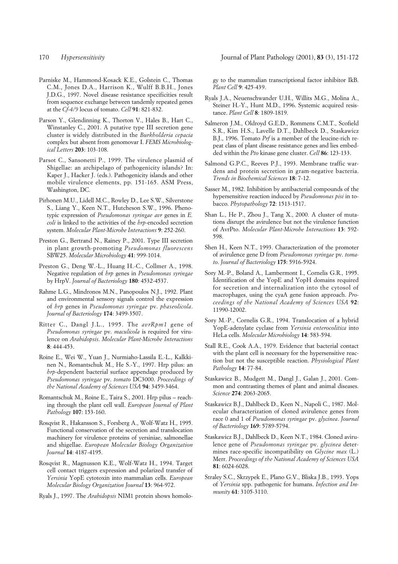- Parniske M., Hammond-Kosack K.E., Golstein C., Thomas C.M., Jones D.A., Harrison K., Wulff B.B.H., Jones J.D.G., 1997. Novel disease resistance specificities result from sequence exchange between tandemly repeated genes at the *Cf-4/9* locus of tomato. *Cell* **91**: 821-832.
- Parson Y., Glendinning K., Thorton V., Hales B., Hart C., Winstanley C., 2001. A putative type III secretion gene cluster is widely distributed in the *Burkholderia cepacia* complex but absent from genomovar I. *FEMS Microbiological Letters* **203**: 103-108.
- Parsot C., Sansonetti P., 1999. The virulence plasmid of Shigellae: an archipelago of pathogenicity islands? In: Kaper J., Hacker J. (eds.). Pathogenicity islands and other mobile virulence elements, pp. 151-165. ASM Press, Washington, DC.
- Pirhonen M.U., Lidell M.C., Rowley D., Lee S.W., Silverstone S., Liang Y., Keen N.T., Hutcheson S.W., 1996. Phenotypic expression of *Pseudomonas syringae avr* genes in *E. coli* is linked to the activities of the *hrp*-encoded secretion system. *Molecular Plant-Microbe Interactions* **9**: 252-260.
- Preston G., Bertrand N., Rainey P., 2001. Type III secretion in plant growth-promoting *Pseudomonas fluorescens* SBW25. *Molecular Microbiology* **41**: 999-1014.
- Preston G., Deng W.-L., Huang H.-C., Collmer A., 1998. Negative regulation of *hrp* genes in *Pseudomonas syringae* by HrpV. *Journal of Bacteriology* **180**: 4532-4537.
- Rahme L.G., Mindronos M.N., Panopoulos N.J., 1992. Plant and environmental sensory signals control the expression of *hrp* genes in *Pseudomonas syringae* pv. *phaseolicola*. *Journal of Bacteriology* **174**: 3499-3507.
- Ritter C., Dangl J.L., 1995. The *avrRpm1* gene of *Pseudomonas syringae* pv. *maculicola* is required for virulence on *Arabidopsis*. *Molecular Plant-Microbe Interactions* **8**: 444-453.
- Roine E., Wei W., Yuan J., Nurmiaho-Lassila E.-L., Kalkkinen N., Romantschuk M., He S.-Y., 1997. Hrp pilus: an *hrp*-dependent bacterial surface appendage produced by *Pseudomonas syringae* pv. *tomato* DC3000. *Proceedings of the National Academy of Sciences USA* **94**: 3459-3464.
- Romantschuk M., Roine E., Taira S., 2001. Hrp pilus reaching through the plant cell wall. *European Journal of Plant Pathology* **107**: 153-160.
- Rosqvist R., Hakansson S., Forsberg A., Wolf-Watz H., 1995. Functional conservation of the secretion and translocation machinery for virulence proteins of yersiniae, salmonellae and shigellae. *European Molecular Biology Organization Journal* **14**: 4187-4195.
- Rosqvist R., Magnusson K.E., Wolf-Watz H., 1994. Target cell contact triggers expression and polarized transfer of *Yersinia* YopE cytotoxin into mammalian cells. *European Molecular Biology Organization Journal* **13**: 964-972.
- Ryals J., 1997. The *Arabidopsis* NIM1 protein shows homolo-

gy to the mammalian transcriptional factor inhibitor IkB. *Plant Cell* **9**: 425-439.

- Ryals J.A., Neuenschwander U.H., Willits M.G., Molina A., Steiner H.-Y., Hunt M.D., 1996. Systemic acquired resistance. *Plant Cell* **8**: 1809-1819.
- Salmeron J.M., Oldroyd G.E.D., Rommens C.M.T., Scofield S.R., Kim H.S., Lavelle D.T., Dahlbeck D., Staskawicz B.J., 1996. Tomato *Prf* is a member of the leucine-rich repeat class of plant disease resistance genes and lies embedded within the *Pto* kinase gene cluster. *Cell* **86**: 123-133.
- Salmond G.P.C., Reeves P.J., 1993. Membrane traffic wardens and protein secretion in gram-negative bacteria. *Trends in Biochemical Sciences* **18**: 7-12.
- Sasser M., 1982. Inhibition by antibacterial compounds of the hypersensitive reaction induced by *Pseudomonas pisi* in tobacco. *Phytopathology* **72**: 1513-1517.
- Shan L., He P., Zhou J., Tang X., 2000. A cluster of mutations disrupt the avirulence but not the virulence function of AvrPto. *Molecular Plant-Microbe Interactions* **13**: 592- 598.
- Shen H., Keen N.T., 1993. Characterization of the promoter of avirulence gene D from *Pseudomonas syringae* pv. *tomato*. *Journal of Bacteriology* **175**: 5916-5924.
- Sory M.-P., Boland A., Lambermont I., Cornelis G.R., 1995. Identification of the YopE and YopH domains required for secretion and internalization into the cytosol of macrophages, using the cyaA gene fusion approach. *Proceedings of the National Academy of Sciences USA* **92**: 11990-12002.
- Sory M.-P., Cornelis G.R., 1994. Translocation of a hybrid YopE-adenylate cyclase from *Yersinia enterocolitica* into HeLa cells. *Molecular Microbiology* **14**: 583-594.
- Stall R.E., Cook A.A., 1979. Evidence that bacterial contact with the plant cell is necessary for the hypersensitive reaction but not the susceptible reaction. *Physiological Plant Pathology* **14**: 77-84.
- Staskawicz B., Mudgett M., Dangl J., Galan J., 2001. Common and contrasting themes of plant and animal diseases. *Science* **274**: 2063-2065.
- Staskawicz B.J., Dahlbeck D., Keen N., Napoli C., 1987. Molecular characterization of cloned avirulence genes from race 0 and 1 of *Pseudomonas syringae* pv. *glycinea*. *Journal of Bacteriology* **169**: 5789-5794.
- Staskawicz B.J., Dahlbeck D., Keen N.T., 1984. Cloned avirulence gene of *Pseudomonas syringae* pv. *glycinea* determines race-specific incompatibility on *Glycine max* (L.) Merr. *Proceedings of the National Academy of Sciences USA* **81**: 6024-6028.
- Straley S.C., Skrzypek E., Plano G.V., Bliska J.B., 1993. Yops of *Yersinia* spp. pathogenic for humans. *Infection and Immunity* **61**: 3105-3110.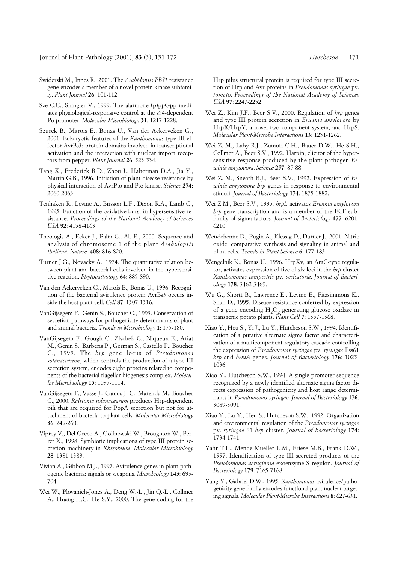- Swiderski M., Innes R., 2001. The *Arabidopsis PBS1* resistance gene encodes a member of a novel protein kinase subfamily. *Plant Journal* **26**: 101-112.
- Sze C.C., Shingler V., 1999. The alarmone (p)ppGpp mediates physiological-responsive control at the s54-dependent Po promoter. *Molecular Microbiology* **31**: 1217-1228.
- Szurek B., Marois E., Bonas U., Van der Ackerveken G., 2001. Eukaryotic features of the *Xanthomonas* type III effector AvrBs3: protein domains involved in transcriptional activation and the interaction with nuclear import receptors from pepper. *Plant Journal* **26**: 523-534.
- Tang X., Frederick R.D., Zhou J., Halterman D.A., Jia Y., Martin G.B., 1996. Initiation of plant disease resistance by physical interaction of AvrPto and Pto kinase. *Science* **274**: 2060-2063.
- Tenhaken R., Levine A., Brisson L.F., Dixon R.A., Lamb C., 1995. Function of the oxidative burst in hypersensitive resistance. *Proceedings of the National Academy of Sciences USA* **92**: 4158-4163.
- Theologis A., Ecker J., Palm C., Al. E., 2000. Sequence and analysis of chromosome 1 of the plant *Arabidopsis thaliana*. *Nature* **408**: 816-820.
- Turner J.G., Novacky A., 1974. The quantitative relation between plant and bacterial cells involved in the hypersensitive reaction. *Phytopathology* **64**: 885-890.
- Van den Ackerveken G., Marois E., Bonas U., 1996. Recognition of the bacterial avirulence protein AvrBs3 occurs inside the host plant cell. *Cell* **87**: 1307-1316.
- VanGijsegem F., Genin S., Boucher C., 1993. Conservation of secretion pathways for pathogenicity determinants of plant and animal bacteria. *Trends in Microbiology* **1**: 175-180.
- VanGijsegem F., Gough C., Zischek C., Niqueux E., Ariat M., Genin S., Barberis P., German S., Castello P., Boucher C., 1995. The *hrp* gene locus of *Pseudomonas solanacearum*, which controls the production of a type III secretion system, encodes eight proteins related to components of the bacterial flagellar biogenesis complex. *Molecular Microbiology* **15**: 1095-1114.
- VanGijsegem F., Vasse J., Camus J.-C., Marenda M., Boucher C., 2000. *Ralstonia solanacearum* produces Hrp-dependent pili that are required for PopA secretion but not for attachment of bacteria to plant cells. *Molecular Microbiology* **36**: 249-260.
- Viprey V., Del Greco A., Golinowski W., Broughton W., Perret X., 1998. Symbiotic implications of type III protein secretion machinery in *Rhizobium*. *Molecular Microbiology* **28**: 1381-1389.
- Vivian A., Gibbon M.J., 1997. Avirulence genes in plant-pathogenic bacteria: signals or weapons. *Microbiology* **143**: 693- 704.
- Wei W., Plovanich-Jones A., Deng W.-L., Jin Q.-L., Collmer A., Huang H.C., He S.Y., 2000. The gene coding for the

Hrp pilus structural protein is required for type III secretion of Hrp and Avr proteins in *Pseudomonas syringae* pv. *tomato*. *Proceedings of the National Academy of Sciences USA* **97**: 2247-2252.

- Wei Z., Kim J.F., Beer S.V., 2000. Regulation of *hrp* genes and type III protein secretion in *Erwinia amylovora* by HrpX/HrpY, a novel two component system, and HrpS. *Molecular Plant-Microbe Interactions* **13**: 1251-1262.
- Wei Z.-M., Laby R.J., Zumoff C.H., Bauer D.W., He S.H., Collmer A., Beer S.V., 1992. Harpin, elicitor of the hypersensitive response produced by the plant pathogen *Erwinia amylovora*. *Science* **257**: 85-88.
- Wei Z.-M., Sneath B.J., Beer S.V., 1992. Expression of *Erwinia amylovora hrp* genes in response to environmental stimuli. *Journal of Bacteriology* **174**: 1875-1882.
- Wei Z.M., Beer S.V., 1995. *hrpL* activates *Erwinia amylovora hrp* gene transcription and is a member of the ECF subfamily of sigma factors. *Journal of Bacteriology* **177**: 6201- 6210.
- Wendehenne D., Pugin A., Klessig D., Durner J., 2001. Nitric oxide, comparative synthesis and signaling in animal and plant cells. *Trends in Plant Science* **6**: 177-183.
- Wengelnik K., Bonas U., 1996. HrpXv, an AraC-type regulator, activates expression of five of six loci in the *hrp* cluster *Xanthomonas campestris* pv. *vesicatoria*. *Journal of Bacteriology* **178**: 3462-3469.
- Wu G., Shortt B., Lawrence E., Levine E., Fitzsimmons K., Shah D., 1995. Disease resistance conferred by expression of a gene encoding  $H<sub>2</sub>O<sub>2</sub>$  generating glucose oxidase in transgenic potato plants. *Plant Cell* **7**: 1357-1368.
- Xiao Y., Heu S., Yi J., Lu Y., Hutcheson S.W., 1994. Identification of a putative alternate sigma factor and characterization of a multicomponent regulatory cascade controlling the expression of *Pseudomonas syringae* pv. *syringae* Pss61 *hrp* and *hrmA* genes. *Journal of Bacteriology* **176**: 1025- 1036.
- Xiao Y., Hutcheson S.W., 1994. A single promoter sequence recognized by a newly identified alternate sigma factor directs expression of pathogenicity and host range determinants in *Pseudomonas syringae*. *Journal of Bacteriology* **176**: 3089-3091.
- Xiao Y., Lu Y., Heu S., Hutcheson S.W., 1992. Organization and environmental regulation of the *Pseudomonas syringae* pv. *syringae* 61 *hrp* cluster. *Journal of Bacteriology* **174**: 1734-1741.
- Yahr T.L., Mende-Mueller L.M., Friese M.B., Frank D.W., 1997. Identification of type III secreted products of the *Pseudomonas aeruginosa* exoenzyme S regulon. *Journal of Bacteriology* **179**: 7165-7168.
- Yang Y., Gabriel D.W., 1995. *Xanthomonas* avirulence/pathogenicity gene family encodes functional plant nuclear targeting signals. *Molecular Plant-Microbe Interactions* **8**: 627-631.